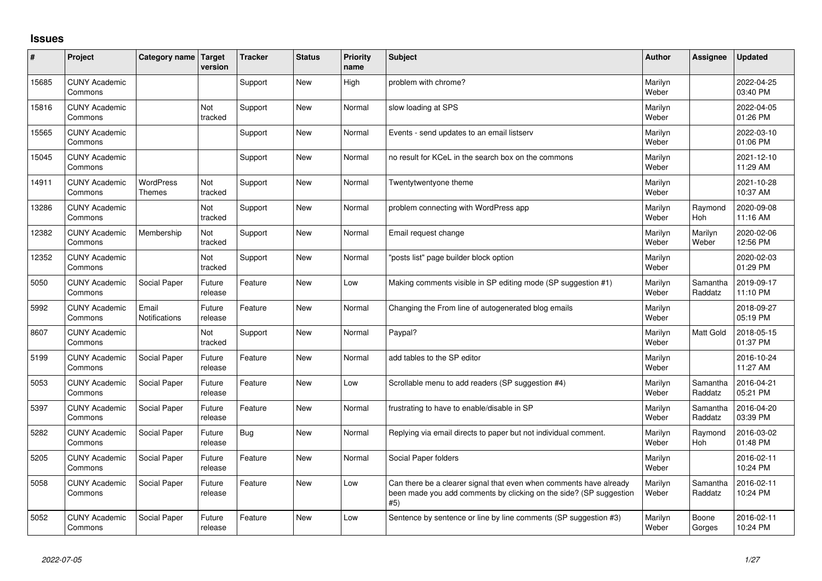## **Issues**

| ∦     | Project                         | Category name                     | Target<br>version     | <b>Tracker</b> | <b>Status</b> | Priority<br>name | <b>Subject</b>                                                                                                                                  | <b>Author</b>    | Assignee              | <b>Updated</b>         |
|-------|---------------------------------|-----------------------------------|-----------------------|----------------|---------------|------------------|-------------------------------------------------------------------------------------------------------------------------------------------------|------------------|-----------------------|------------------------|
| 15685 | <b>CUNY Academic</b><br>Commons |                                   |                       | Support        | <b>New</b>    | High             | problem with chrome?                                                                                                                            | Marilyn<br>Weber |                       | 2022-04-25<br>03:40 PM |
| 15816 | <b>CUNY Academic</b><br>Commons |                                   | <b>Not</b><br>tracked | Support        | <b>New</b>    | Normal           | slow loading at SPS                                                                                                                             | Marilyn<br>Weber |                       | 2022-04-05<br>01:26 PM |
| 15565 | <b>CUNY Academic</b><br>Commons |                                   |                       | Support        | <b>New</b>    | Normal           | Events - send updates to an email listserv                                                                                                      | Marilyn<br>Weber |                       | 2022-03-10<br>01:06 PM |
| 15045 | <b>CUNY Academic</b><br>Commons |                                   |                       | Support        | <b>New</b>    | Normal           | no result for KCeL in the search box on the commons                                                                                             | Marilyn<br>Weber |                       | 2021-12-10<br>11:29 AM |
| 14911 | <b>CUNY Academic</b><br>Commons | <b>WordPress</b><br><b>Themes</b> | Not<br>tracked        | Support        | <b>New</b>    | Normal           | Twentytwentyone theme                                                                                                                           | Marilyn<br>Weber |                       | 2021-10-28<br>10:37 AM |
| 13286 | <b>CUNY Academic</b><br>Commons |                                   | <b>Not</b><br>tracked | Support        | <b>New</b>    | Normal           | problem connecting with WordPress app                                                                                                           | Marilyn<br>Weber | Raymond<br><b>Hoh</b> | 2020-09-08<br>11:16 AM |
| 12382 | <b>CUNY Academic</b><br>Commons | Membership                        | Not<br>tracked        | Support        | <b>New</b>    | Normal           | Email request change                                                                                                                            | Marilyn<br>Weber | Marilyn<br>Weber      | 2020-02-06<br>12:56 PM |
| 12352 | <b>CUNY Academic</b><br>Commons |                                   | <b>Not</b><br>tracked | Support        | <b>New</b>    | Normal           | posts list" page builder block option                                                                                                           | Marilyn<br>Weber |                       | 2020-02-03<br>01:29 PM |
| 5050  | <b>CUNY Academic</b><br>Commons | Social Paper                      | Future<br>release     | Feature        | <b>New</b>    | Low              | Making comments visible in SP editing mode (SP suggestion #1)                                                                                   | Marilyn<br>Weber | Samantha<br>Raddatz   | 2019-09-17<br>11:10 PM |
| 5992  | <b>CUNY Academic</b><br>Commons | Email<br>Notifications            | Future<br>release     | Feature        | <b>New</b>    | Normal           | Changing the From line of autogenerated blog emails                                                                                             | Marilyn<br>Weber |                       | 2018-09-27<br>05:19 PM |
| 8607  | <b>CUNY Academic</b><br>Commons |                                   | Not<br>tracked        | Support        | <b>New</b>    | Normal           | Paypal?                                                                                                                                         | Marilyn<br>Weber | <b>Matt Gold</b>      | 2018-05-15<br>01:37 PM |
| 5199  | <b>CUNY Academic</b><br>Commons | Social Paper                      | Future<br>release     | Feature        | <b>New</b>    | Normal           | add tables to the SP editor                                                                                                                     | Marilyn<br>Weber |                       | 2016-10-24<br>11:27 AM |
| 5053  | <b>CUNY Academic</b><br>Commons | Social Paper                      | Future<br>release     | Feature        | <b>New</b>    | Low              | Scrollable menu to add readers (SP suggestion #4)                                                                                               | Marilyn<br>Weber | Samantha<br>Raddatz   | 2016-04-21<br>05:21 PM |
| 5397  | <b>CUNY Academic</b><br>Commons | Social Paper                      | Future<br>release     | Feature        | <b>New</b>    | Normal           | frustrating to have to enable/disable in SP                                                                                                     | Marilyn<br>Weber | Samantha<br>Raddatz   | 2016-04-20<br>03:39 PM |
| 5282  | <b>CUNY Academic</b><br>Commons | Social Paper                      | Future<br>release     | Bug            | <b>New</b>    | Normal           | Replying via email directs to paper but not individual comment.                                                                                 | Marilyn<br>Weber | Raymond<br>Hoh        | 2016-03-02<br>01:48 PM |
| 5205  | <b>CUNY Academic</b><br>Commons | Social Paper                      | Future<br>release     | Feature        | <b>New</b>    | Normal           | Social Paper folders                                                                                                                            | Marilyn<br>Weber |                       | 2016-02-11<br>10:24 PM |
| 5058  | <b>CUNY Academic</b><br>Commons | Social Paper                      | Future<br>release     | Feature        | <b>New</b>    | Low              | Can there be a clearer signal that even when comments have already<br>been made you add comments by clicking on the side? (SP suggestion<br>#5) | Marilyn<br>Weber | Samantha<br>Raddatz   | 2016-02-11<br>10:24 PM |
| 5052  | <b>CUNY Academic</b><br>Commons | Social Paper                      | Future<br>release     | Feature        | <b>New</b>    | Low              | Sentence by sentence or line by line comments (SP suggestion #3)                                                                                | Marilyn<br>Weber | Boone<br>Gorges       | 2016-02-11<br>10:24 PM |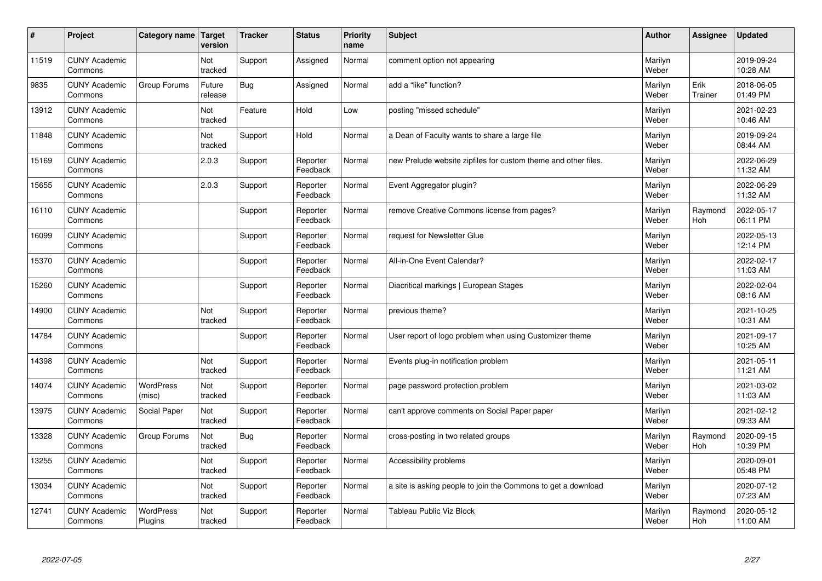| #     | Project                         | Category name   Target      | version           | <b>Tracker</b> | <b>Status</b>        | <b>Priority</b><br>name | <b>Subject</b>                                                 | <b>Author</b>    | Assignee              | <b>Updated</b>         |
|-------|---------------------------------|-----------------------------|-------------------|----------------|----------------------|-------------------------|----------------------------------------------------------------|------------------|-----------------------|------------------------|
| 11519 | <b>CUNY Academic</b><br>Commons |                             | Not<br>tracked    | Support        | Assigned             | Normal                  | comment option not appearing                                   | Marilyn<br>Weber |                       | 2019-09-24<br>10:28 AM |
| 9835  | <b>CUNY Academic</b><br>Commons | Group Forums                | Future<br>release | Bug            | Assigned             | Normal                  | add a "like" function?                                         | Marilyn<br>Weber | Erik<br>Trainer       | 2018-06-05<br>01:49 PM |
| 13912 | <b>CUNY Academic</b><br>Commons |                             | Not<br>tracked    | Feature        | Hold                 | Low                     | posting "missed schedule"                                      | Marilyn<br>Weber |                       | 2021-02-23<br>10:46 AM |
| 11848 | <b>CUNY Academic</b><br>Commons |                             | Not<br>tracked    | Support        | Hold                 | Normal                  | a Dean of Faculty wants to share a large file                  | Marilyn<br>Weber |                       | 2019-09-24<br>08:44 AM |
| 15169 | <b>CUNY Academic</b><br>Commons |                             | 2.0.3             | Support        | Reporter<br>Feedback | Normal                  | new Prelude website zipfiles for custom theme and other files. | Marilyn<br>Weber |                       | 2022-06-29<br>11:32 AM |
| 15655 | <b>CUNY Academic</b><br>Commons |                             | 2.0.3             | Support        | Reporter<br>Feedback | Normal                  | Event Aggregator plugin?                                       | Marilyn<br>Weber |                       | 2022-06-29<br>11:32 AM |
| 16110 | <b>CUNY Academic</b><br>Commons |                             |                   | Support        | Reporter<br>Feedback | Normal                  | remove Creative Commons license from pages?                    | Marilyn<br>Weber | Raymond<br>Hoh        | 2022-05-17<br>06:11 PM |
| 16099 | <b>CUNY Academic</b><br>Commons |                             |                   | Support        | Reporter<br>Feedback | Normal                  | request for Newsletter Glue                                    | Marilyn<br>Weber |                       | 2022-05-13<br>12:14 PM |
| 15370 | <b>CUNY Academic</b><br>Commons |                             |                   | Support        | Reporter<br>Feedback | Normal                  | All-in-One Event Calendar?                                     | Marilyn<br>Weber |                       | 2022-02-17<br>11:03 AM |
| 15260 | <b>CUNY Academic</b><br>Commons |                             |                   | Support        | Reporter<br>Feedback | Normal                  | Diacritical markings   European Stages                         | Marilyn<br>Weber |                       | 2022-02-04<br>08:16 AM |
| 14900 | <b>CUNY Academic</b><br>Commons |                             | Not<br>tracked    | Support        | Reporter<br>Feedback | Normal                  | previous theme?                                                | Marilyn<br>Weber |                       | 2021-10-25<br>10:31 AM |
| 14784 | <b>CUNY Academic</b><br>Commons |                             |                   | Support        | Reporter<br>Feedback | Normal                  | User report of logo problem when using Customizer theme        | Marilyn<br>Weber |                       | 2021-09-17<br>10:25 AM |
| 14398 | <b>CUNY Academic</b><br>Commons |                             | Not<br>tracked    | Support        | Reporter<br>Feedback | Normal                  | Events plug-in notification problem                            | Marilyn<br>Weber |                       | 2021-05-11<br>11:21 AM |
| 14074 | <b>CUNY Academic</b><br>Commons | WordPress<br>(misc)         | Not<br>tracked    | Support        | Reporter<br>Feedback | Normal                  | page password protection problem                               | Marilyn<br>Weber |                       | 2021-03-02<br>11:03 AM |
| 13975 | <b>CUNY Academic</b><br>Commons | Social Paper                | Not<br>tracked    | Support        | Reporter<br>Feedback | Normal                  | can't approve comments on Social Paper paper                   | Marilyn<br>Weber |                       | 2021-02-12<br>09:33 AM |
| 13328 | <b>CUNY Academic</b><br>Commons | Group Forums                | Not<br>tracked    | Bug            | Reporter<br>Feedback | Normal                  | cross-posting in two related groups                            | Marilyn<br>Weber | Raymond<br><b>Hoh</b> | 2020-09-15<br>10:39 PM |
| 13255 | <b>CUNY Academic</b><br>Commons |                             | Not<br>tracked    | Support        | Reporter<br>Feedback | Normal                  | Accessibility problems                                         | Marilyn<br>Weber |                       | 2020-09-01<br>05:48 PM |
| 13034 | <b>CUNY Academic</b><br>Commons |                             | Not<br>tracked    | Support        | Reporter<br>Feedback | Normal                  | a site is asking people to join the Commons to get a download  | Marilyn<br>Weber |                       | 2020-07-12<br>07:23 AM |
| 12741 | <b>CUNY Academic</b><br>Commons | <b>WordPress</b><br>Plugins | Not<br>tracked    | Support        | Reporter<br>Feedback | Normal                  | Tableau Public Viz Block                                       | Marilyn<br>Weber | Raymond<br>Hoh        | 2020-05-12<br>11:00 AM |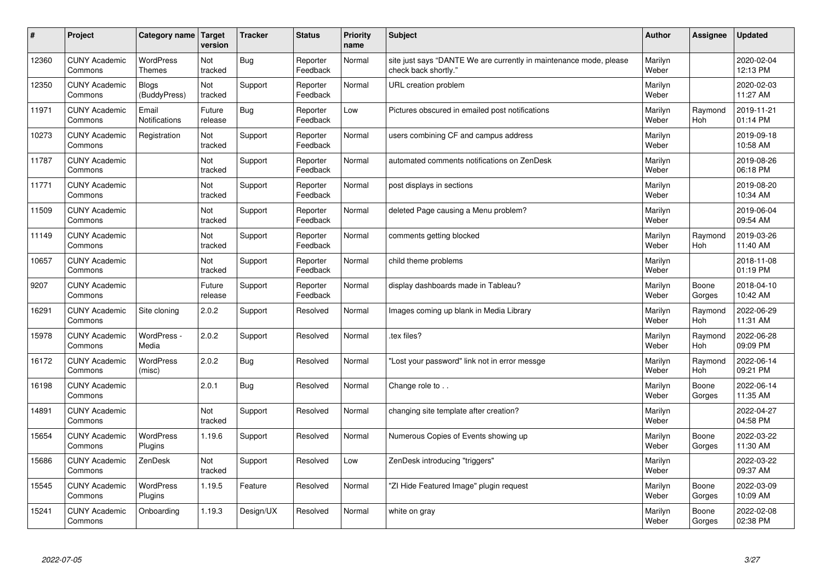| #     | Project                         | Category name   Target            | version           | <b>Tracker</b> | <b>Status</b>        | Priority<br>name | <b>Subject</b>                                                                             | <b>Author</b>    | <b>Assignee</b>       | <b>Updated</b>         |
|-------|---------------------------------|-----------------------------------|-------------------|----------------|----------------------|------------------|--------------------------------------------------------------------------------------------|------------------|-----------------------|------------------------|
| 12360 | <b>CUNY Academic</b><br>Commons | <b>WordPress</b><br><b>Themes</b> | Not<br>tracked    | <b>Bug</b>     | Reporter<br>Feedback | Normal           | site just says "DANTE We are currently in maintenance mode, please<br>check back shortly." | Marilyn<br>Weber |                       | 2020-02-04<br>12:13 PM |
| 12350 | <b>CUNY Academic</b><br>Commons | Blogs<br>(BuddyPress)             | Not<br>tracked    | Support        | Reporter<br>Feedback | Normal           | URL creation problem                                                                       | Marilyn<br>Weber |                       | 2020-02-03<br>11:27 AM |
| 11971 | <b>CUNY Academic</b><br>Commons | Email<br><b>Notifications</b>     | Future<br>release | Bug            | Reporter<br>Feedback | Low              | Pictures obscured in emailed post notifications                                            | Marilyn<br>Weber | Raymond<br><b>Hoh</b> | 2019-11-21<br>01:14 PM |
| 10273 | <b>CUNY Academic</b><br>Commons | Registration                      | Not<br>tracked    | Support        | Reporter<br>Feedback | Normal           | users combining CF and campus address                                                      | Marilyn<br>Weber |                       | 2019-09-18<br>10:58 AM |
| 11787 | <b>CUNY Academic</b><br>Commons |                                   | Not<br>tracked    | Support        | Reporter<br>Feedback | Normal           | automated comments notifications on ZenDesk                                                | Marilyn<br>Weber |                       | 2019-08-26<br>06:18 PM |
| 11771 | <b>CUNY Academic</b><br>Commons |                                   | Not<br>tracked    | Support        | Reporter<br>Feedback | Normal           | post displays in sections                                                                  | Marilyn<br>Weber |                       | 2019-08-20<br>10:34 AM |
| 11509 | <b>CUNY Academic</b><br>Commons |                                   | Not<br>tracked    | Support        | Reporter<br>Feedback | Normal           | deleted Page causing a Menu problem?                                                       | Marilyn<br>Weber |                       | 2019-06-04<br>09:54 AM |
| 11149 | <b>CUNY Academic</b><br>Commons |                                   | Not<br>tracked    | Support        | Reporter<br>Feedback | Normal           | comments getting blocked                                                                   | Marilyn<br>Weber | Raymond<br>Hoh        | 2019-03-26<br>11:40 AM |
| 10657 | <b>CUNY Academic</b><br>Commons |                                   | Not<br>tracked    | Support        | Reporter<br>Feedback | Normal           | child theme problems                                                                       | Marilyn<br>Weber |                       | 2018-11-08<br>01:19 PM |
| 9207  | <b>CUNY Academic</b><br>Commons |                                   | Future<br>release | Support        | Reporter<br>Feedback | Normal           | display dashboards made in Tableau?                                                        | Marilyn<br>Weber | Boone<br>Gorges       | 2018-04-10<br>10:42 AM |
| 16291 | <b>CUNY Academic</b><br>Commons | Site cloning                      | 2.0.2             | Support        | Resolved             | Normal           | Images coming up blank in Media Library                                                    | Marilyn<br>Weber | Raymond<br><b>Hoh</b> | 2022-06-29<br>11:31 AM |
| 15978 | <b>CUNY Academic</b><br>Commons | WordPress -<br>Media              | 2.0.2             | Support        | Resolved             | Normal           | tex files?                                                                                 | Marilyn<br>Weber | Raymond<br><b>Hoh</b> | 2022-06-28<br>09:09 PM |
| 16172 | <b>CUNY Academic</b><br>Commons | <b>WordPress</b><br>(misc)        | 2.0.2             | Bug            | Resolved             | Normal           | 'Lost your password" link not in error messge                                              | Marilyn<br>Weber | Raymond<br>Hoh        | 2022-06-14<br>09:21 PM |
| 16198 | <b>CUNY Academic</b><br>Commons |                                   | 2.0.1             | <b>Bug</b>     | Resolved             | Normal           | Change role to                                                                             | Marilyn<br>Weber | Boone<br>Gorges       | 2022-06-14<br>11:35 AM |
| 14891 | <b>CUNY Academic</b><br>Commons |                                   | Not<br>tracked    | Support        | Resolved             | Normal           | changing site template after creation?                                                     | Marilyn<br>Weber |                       | 2022-04-27<br>04:58 PM |
| 15654 | <b>CUNY Academic</b><br>Commons | WordPress<br>Plugins              | 1.19.6            | Support        | Resolved             | Normal           | Numerous Copies of Events showing up                                                       | Marilyn<br>Weber | Boone<br>Gorges       | 2022-03-22<br>11:30 AM |
| 15686 | <b>CUNY Academic</b><br>Commons | ZenDesk                           | Not<br>tracked    | Support        | Resolved             | Low              | ZenDesk introducing "triggers"                                                             | Marilyn<br>Weber |                       | 2022-03-22<br>09:37 AM |
| 15545 | <b>CUNY Academic</b><br>Commons | WordPress<br>Plugins              | 1.19.5            | Feature        | Resolved             | Normal           | "ZI Hide Featured Image" plugin request                                                    | Marilyn<br>Weber | Boone<br>Gorges       | 2022-03-09<br>10:09 AM |
| 15241 | <b>CUNY Academic</b><br>Commons | Onboarding                        | 1.19.3            | Design/UX      | Resolved             | Normal           | white on gray                                                                              | Marilyn<br>Weber | Boone<br>Gorges       | 2022-02-08<br>02:38 PM |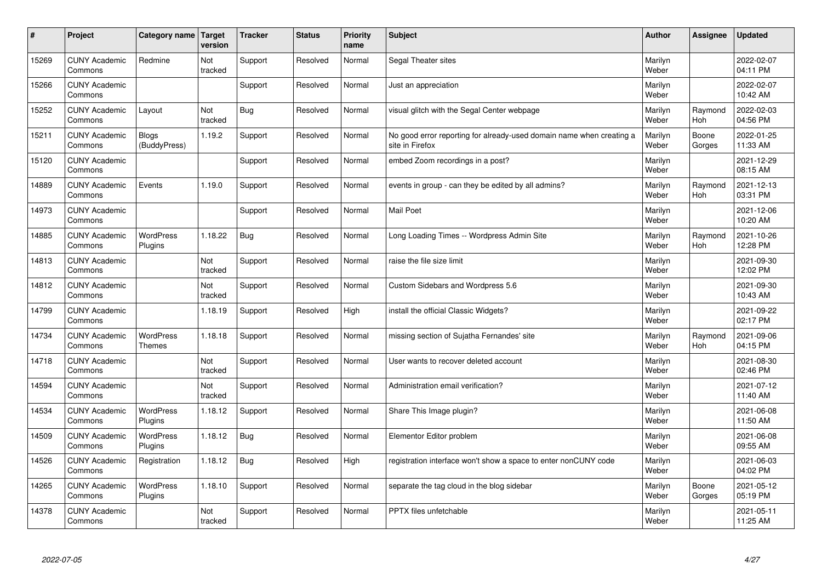| #     | Project                         | Category name   Target      | version        | <b>Tracker</b> | <b>Status</b> | <b>Priority</b><br>name | <b>Subject</b>                                                                          | <b>Author</b>    | Assignee              | <b>Updated</b>         |
|-------|---------------------------------|-----------------------------|----------------|----------------|---------------|-------------------------|-----------------------------------------------------------------------------------------|------------------|-----------------------|------------------------|
| 15269 | <b>CUNY Academic</b><br>Commons | Redmine                     | Not<br>tracked | Support        | Resolved      | Normal                  | Segal Theater sites                                                                     | Marilyn<br>Weber |                       | 2022-02-07<br>04:11 PM |
| 15266 | <b>CUNY Academic</b><br>Commons |                             |                | Support        | Resolved      | Normal                  | Just an appreciation                                                                    | Marilyn<br>Weber |                       | 2022-02-07<br>10:42 AM |
| 15252 | <b>CUNY Academic</b><br>Commons | Layout                      | Not<br>tracked | Bug            | Resolved      | Normal                  | visual glitch with the Segal Center webpage                                             | Marilyn<br>Weber | Raymond<br>Hoh        | 2022-02-03<br>04:56 PM |
| 15211 | <b>CUNY Academic</b><br>Commons | Blogs<br>(BuddyPress)       | 1.19.2         | Support        | Resolved      | Normal                  | No good error reporting for already-used domain name when creating a<br>site in Firefox | Marilyn<br>Weber | Boone<br>Gorges       | 2022-01-25<br>11:33 AM |
| 15120 | <b>CUNY Academic</b><br>Commons |                             |                | Support        | Resolved      | Normal                  | embed Zoom recordings in a post?                                                        | Marilyn<br>Weber |                       | 2021-12-29<br>08:15 AM |
| 14889 | <b>CUNY Academic</b><br>Commons | Events                      | 1.19.0         | Support        | Resolved      | Normal                  | events in group - can they be edited by all admins?                                     | Marilyn<br>Weber | Raymond<br>Hoh        | 2021-12-13<br>03:31 PM |
| 14973 | <b>CUNY Academic</b><br>Commons |                             |                | Support        | Resolved      | Normal                  | <b>Mail Poet</b>                                                                        | Marilyn<br>Weber |                       | 2021-12-06<br>10:20 AM |
| 14885 | <b>CUNY Academic</b><br>Commons | <b>WordPress</b><br>Plugins | 1.18.22        | <b>Bug</b>     | Resolved      | Normal                  | Long Loading Times -- Wordpress Admin Site                                              | Marilyn<br>Weber | Raymond<br>Hoh        | 2021-10-26<br>12:28 PM |
| 14813 | <b>CUNY Academic</b><br>Commons |                             | Not<br>tracked | Support        | Resolved      | Normal                  | raise the file size limit                                                               | Marilyn<br>Weber |                       | 2021-09-30<br>12:02 PM |
| 14812 | <b>CUNY Academic</b><br>Commons |                             | Not<br>tracked | Support        | Resolved      | Normal                  | Custom Sidebars and Wordpress 5.6                                                       | Marilyn<br>Weber |                       | 2021-09-30<br>10:43 AM |
| 14799 | <b>CUNY Academic</b><br>Commons |                             | 1.18.19        | Support        | Resolved      | High                    | install the official Classic Widgets?                                                   | Marilyn<br>Weber |                       | 2021-09-22<br>02:17 PM |
| 14734 | <b>CUNY Academic</b><br>Commons | <b>WordPress</b><br>Themes  | 1.18.18        | Support        | Resolved      | Normal                  | missing section of Sujatha Fernandes' site                                              | Marilyn<br>Weber | Raymond<br><b>Hoh</b> | 2021-09-06<br>04:15 PM |
| 14718 | <b>CUNY Academic</b><br>Commons |                             | Not<br>tracked | Support        | Resolved      | Normal                  | User wants to recover deleted account                                                   | Marilyn<br>Weber |                       | 2021-08-30<br>02:46 PM |
| 14594 | <b>CUNY Academic</b><br>Commons |                             | Not<br>tracked | Support        | Resolved      | Normal                  | Administration email verification?                                                      | Marilyn<br>Weber |                       | 2021-07-12<br>11:40 AM |
| 14534 | <b>CUNY Academic</b><br>Commons | WordPress<br>Plugins        | 1.18.12        | Support        | Resolved      | Normal                  | Share This Image plugin?                                                                | Marilyn<br>Weber |                       | 2021-06-08<br>11:50 AM |
| 14509 | <b>CUNY Academic</b><br>Commons | <b>WordPress</b><br>Plugins | 1.18.12        | <b>Bug</b>     | Resolved      | Normal                  | Elementor Editor problem                                                                | Marilyn<br>Weber |                       | 2021-06-08<br>09:55 AM |
| 14526 | <b>CUNY Academic</b><br>Commons | Registration                | 1.18.12        | Bug            | Resolved      | High                    | registration interface won't show a space to enter nonCUNY code                         | Marilyn<br>Weber |                       | 2021-06-03<br>04:02 PM |
| 14265 | <b>CUNY Academic</b><br>Commons | <b>WordPress</b><br>Plugins | 1.18.10        | Support        | Resolved      | Normal                  | separate the tag cloud in the blog sidebar                                              | Marilyn<br>Weber | Boone<br>Gorges       | 2021-05-12<br>05:19 PM |
| 14378 | <b>CUNY Academic</b><br>Commons |                             | Not<br>tracked | Support        | Resolved      | Normal                  | <b>PPTX</b> files unfetchable                                                           | Marilyn<br>Weber |                       | 2021-05-11<br>11:25 AM |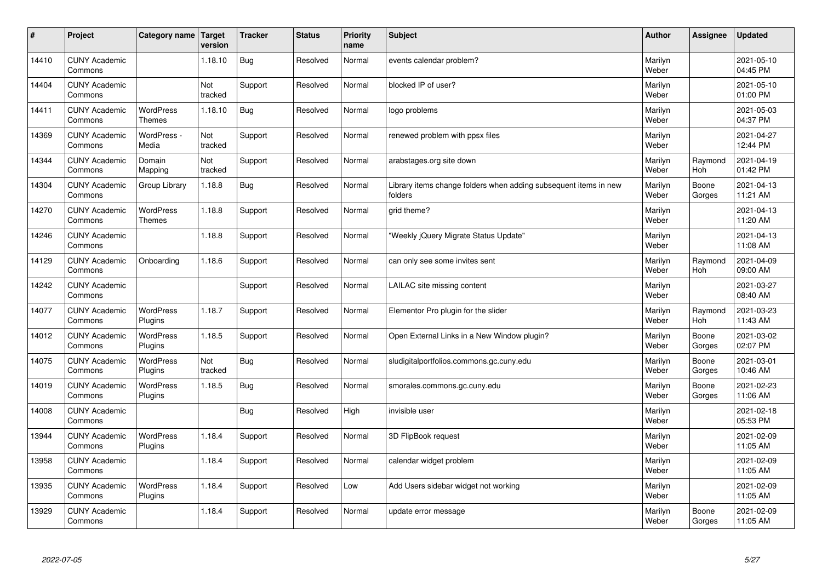| $\sharp$ | Project                         | Category name   Target            | version        | <b>Tracker</b> | <b>Status</b> | <b>Priority</b><br>name | <b>Subject</b>                                                              | <b>Author</b>    | Assignee        | <b>Updated</b>         |
|----------|---------------------------------|-----------------------------------|----------------|----------------|---------------|-------------------------|-----------------------------------------------------------------------------|------------------|-----------------|------------------------|
| 14410    | <b>CUNY Academic</b><br>Commons |                                   | 1.18.10        | Bug            | Resolved      | Normal                  | events calendar problem?                                                    | Marilyn<br>Weber |                 | 2021-05-10<br>04:45 PM |
| 14404    | <b>CUNY Academic</b><br>Commons |                                   | Not<br>tracked | Support        | Resolved      | Normal                  | blocked IP of user?                                                         | Marilyn<br>Weber |                 | 2021-05-10<br>01:00 PM |
| 14411    | <b>CUNY Academic</b><br>Commons | <b>WordPress</b><br><b>Themes</b> | 1.18.10        | <b>Bug</b>     | Resolved      | Normal                  | logo problems                                                               | Marilyn<br>Weber |                 | 2021-05-03<br>04:37 PM |
| 14369    | <b>CUNY Academic</b><br>Commons | WordPress -<br>Media              | Not<br>tracked | Support        | Resolved      | Normal                  | renewed problem with ppsx files                                             | Marilyn<br>Weber |                 | 2021-04-27<br>12:44 PM |
| 14344    | <b>CUNY Academic</b><br>Commons | Domain<br>Mapping                 | Not<br>tracked | Support        | Resolved      | Normal                  | arabstages.org site down                                                    | Marilyn<br>Weber | Raymond<br>Hoh  | 2021-04-19<br>01:42 PM |
| 14304    | <b>CUNY Academic</b><br>Commons | Group Library                     | 1.18.8         | <b>Bug</b>     | Resolved      | Normal                  | Library items change folders when adding subsequent items in new<br>folders | Marilyn<br>Weber | Boone<br>Gorges | 2021-04-13<br>11:21 AM |
| 14270    | <b>CUNY Academic</b><br>Commons | <b>WordPress</b><br><b>Themes</b> | 1.18.8         | Support        | Resolved      | Normal                  | grid theme?                                                                 | Marilyn<br>Weber |                 | 2021-04-13<br>11:20 AM |
| 14246    | <b>CUNY Academic</b><br>Commons |                                   | 1.18.8         | Support        | Resolved      | Normal                  | 'Weekly jQuery Migrate Status Update"                                       | Marilyn<br>Weber |                 | 2021-04-13<br>11:08 AM |
| 14129    | <b>CUNY Academic</b><br>Commons | Onboarding                        | 1.18.6         | Support        | Resolved      | Normal                  | can only see some invites sent                                              | Marilyn<br>Weber | Raymond<br>Hoh  | 2021-04-09<br>09:00 AM |
| 14242    | <b>CUNY Academic</b><br>Commons |                                   |                | Support        | Resolved      | Normal                  | LAILAC site missing content                                                 | Marilyn<br>Weber |                 | 2021-03-27<br>08:40 AM |
| 14077    | <b>CUNY Academic</b><br>Commons | <b>WordPress</b><br>Plugins       | 1.18.7         | Support        | Resolved      | Normal                  | Elementor Pro plugin for the slider                                         | Marilyn<br>Weber | Raymond<br>Hoh  | 2021-03-23<br>11:43 AM |
| 14012    | <b>CUNY Academic</b><br>Commons | <b>WordPress</b><br>Plugins       | 1.18.5         | Support        | Resolved      | Normal                  | Open External Links in a New Window plugin?                                 | Marilyn<br>Weber | Boone<br>Gorges | 2021-03-02<br>02:07 PM |
| 14075    | <b>CUNY Academic</b><br>Commons | <b>WordPress</b><br>Plugins       | Not<br>tracked | Bug            | Resolved      | Normal                  | sludigitalportfolios.commons.gc.cuny.edu                                    | Marilyn<br>Weber | Boone<br>Gorges | 2021-03-01<br>10:46 AM |
| 14019    | <b>CUNY Academic</b><br>Commons | <b>WordPress</b><br>Plugins       | 1.18.5         | Bug            | Resolved      | Normal                  | smorales.commons.gc.cuny.edu                                                | Marilyn<br>Weber | Boone<br>Gorges | 2021-02-23<br>11:06 AM |
| 14008    | <b>CUNY Academic</b><br>Commons |                                   |                | <b>Bug</b>     | Resolved      | High                    | invisible user                                                              | Marilyn<br>Weber |                 | 2021-02-18<br>05:53 PM |
| 13944    | <b>CUNY Academic</b><br>Commons | <b>WordPress</b><br>Plugins       | 1.18.4         | Support        | Resolved      | Normal                  | 3D FlipBook request                                                         | Marilyn<br>Weber |                 | 2021-02-09<br>11:05 AM |
| 13958    | <b>CUNY Academic</b><br>Commons |                                   | 1.18.4         | Support        | Resolved      | Normal                  | calendar widget problem                                                     | Marilyn<br>Weber |                 | 2021-02-09<br>11:05 AM |
| 13935    | <b>CUNY Academic</b><br>Commons | <b>WordPress</b><br>Plugins       | 1.18.4         | Support        | Resolved      | Low                     | Add Users sidebar widget not working                                        | Marilyn<br>Weber |                 | 2021-02-09<br>11:05 AM |
| 13929    | <b>CUNY Academic</b><br>Commons |                                   | 1.18.4         | Support        | Resolved      | Normal                  | update error message                                                        | Marilyn<br>Weber | Boone<br>Gorges | 2021-02-09<br>11:05 AM |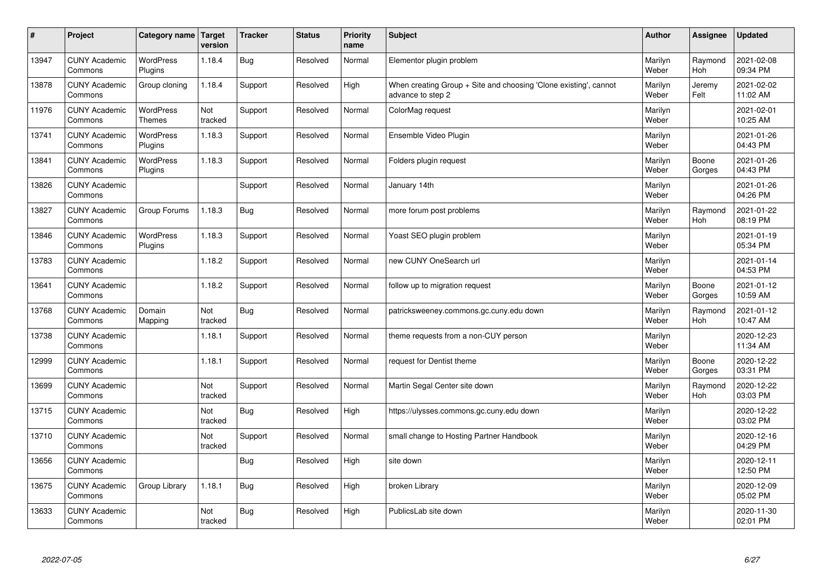| #     | Project                         | Category name   Target      | version        | <b>Tracker</b> | <b>Status</b> | Priority<br>name | <b>Subject</b>                                                                        | <b>Author</b>    | <b>Assignee</b>       | <b>Updated</b>         |
|-------|---------------------------------|-----------------------------|----------------|----------------|---------------|------------------|---------------------------------------------------------------------------------------|------------------|-----------------------|------------------------|
| 13947 | <b>CUNY Academic</b><br>Commons | <b>WordPress</b><br>Plugins | 1.18.4         | Bug            | Resolved      | Normal           | Elementor plugin problem                                                              | Marilyn<br>Weber | Raymond<br>Hoh        | 2021-02-08<br>09:34 PM |
| 13878 | <b>CUNY Academic</b><br>Commons | Group cloning               | 1.18.4         | Support        | Resolved      | High             | When creating Group + Site and choosing 'Clone existing', cannot<br>advance to step 2 | Marilyn<br>Weber | Jeremy<br>Felt        | 2021-02-02<br>11:02 AM |
| 11976 | <b>CUNY Academic</b><br>Commons | WordPress<br><b>Themes</b>  | Not<br>tracked | Support        | Resolved      | Normal           | ColorMag request                                                                      | Marilyn<br>Weber |                       | 2021-02-01<br>10:25 AM |
| 13741 | <b>CUNY Academic</b><br>Commons | <b>WordPress</b><br>Plugins | 1.18.3         | Support        | Resolved      | Normal           | Ensemble Video Plugin                                                                 | Marilyn<br>Weber |                       | 2021-01-26<br>04:43 PM |
| 13841 | <b>CUNY Academic</b><br>Commons | <b>WordPress</b><br>Plugins | 1.18.3         | Support        | Resolved      | Normal           | Folders plugin request                                                                | Marilyn<br>Weber | Boone<br>Gorges       | 2021-01-26<br>04:43 PM |
| 13826 | <b>CUNY Academic</b><br>Commons |                             |                | Support        | Resolved      | Normal           | January 14th                                                                          | Marilyn<br>Weber |                       | 2021-01-26<br>04:26 PM |
| 13827 | <b>CUNY Academic</b><br>Commons | Group Forums                | 1.18.3         | <b>Bug</b>     | Resolved      | Normal           | more forum post problems                                                              | Marilyn<br>Weber | Raymond<br><b>Hoh</b> | 2021-01-22<br>08:19 PM |
| 13846 | <b>CUNY Academic</b><br>Commons | <b>WordPress</b><br>Plugins | 1.18.3         | Support        | Resolved      | Normal           | Yoast SEO plugin problem                                                              | Marilyn<br>Weber |                       | 2021-01-19<br>05:34 PM |
| 13783 | <b>CUNY Academic</b><br>Commons |                             | 1.18.2         | Support        | Resolved      | Normal           | new CUNY OneSearch url                                                                | Marilyn<br>Weber |                       | 2021-01-14<br>04:53 PM |
| 13641 | <b>CUNY Academic</b><br>Commons |                             | 1.18.2         | Support        | Resolved      | Normal           | follow up to migration request                                                        | Marilyn<br>Weber | Boone<br>Gorges       | 2021-01-12<br>10:59 AM |
| 13768 | <b>CUNY Academic</b><br>Commons | Domain<br>Mapping           | Not<br>tracked | <b>Bug</b>     | Resolved      | Normal           | patricksweeney.commons.gc.cuny.edu down                                               | Marilyn<br>Weber | Raymond<br>Hoh        | 2021-01-12<br>10:47 AM |
| 13738 | <b>CUNY Academic</b><br>Commons |                             | 1.18.1         | Support        | Resolved      | Normal           | theme requests from a non-CUY person                                                  | Marilyn<br>Weber |                       | 2020-12-23<br>11:34 AM |
| 12999 | <b>CUNY Academic</b><br>Commons |                             | 1.18.1         | Support        | Resolved      | Normal           | request for Dentist theme                                                             | Marilyn<br>Weber | Boone<br>Gorges       | 2020-12-22<br>03:31 PM |
| 13699 | <b>CUNY Academic</b><br>Commons |                             | Not<br>tracked | Support        | Resolved      | Normal           | Martin Segal Center site down                                                         | Marilyn<br>Weber | Raymond<br>Hoh        | 2020-12-22<br>03:03 PM |
| 13715 | <b>CUNY Academic</b><br>Commons |                             | Not<br>tracked | <b>Bug</b>     | Resolved      | High             | https://ulysses.commons.gc.cuny.edu down                                              | Marilyn<br>Weber |                       | 2020-12-22<br>03:02 PM |
| 13710 | <b>CUNY Academic</b><br>Commons |                             | Not<br>tracked | Support        | Resolved      | Normal           | small change to Hosting Partner Handbook                                              | Marilyn<br>Weber |                       | 2020-12-16<br>04:29 PM |
| 13656 | <b>CUNY Academic</b><br>Commons |                             |                | Bug            | Resolved      | High             | site down                                                                             | Marilyn<br>Weber |                       | 2020-12-11<br>12:50 PM |
| 13675 | <b>CUNY Academic</b><br>Commons | Group Library               | 1.18.1         | <b>Bug</b>     | Resolved      | High             | broken Library                                                                        | Marilyn<br>Weber |                       | 2020-12-09<br>05:02 PM |
| 13633 | <b>CUNY Academic</b><br>Commons |                             | Not<br>tracked | <b>Bug</b>     | Resolved      | High             | PublicsLab site down                                                                  | Marilyn<br>Weber |                       | 2020-11-30<br>02:01 PM |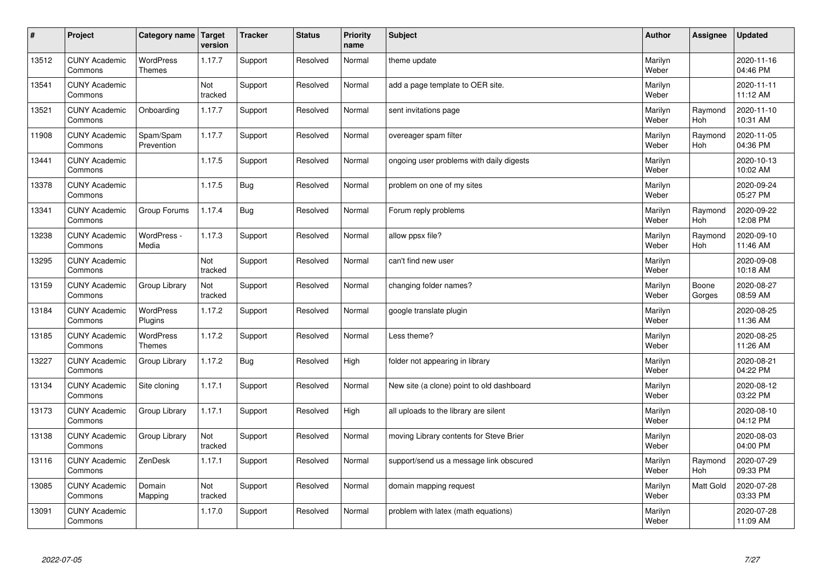| $\sharp$ | Project                         | Category name   Target            | version        | <b>Tracker</b> | <b>Status</b> | <b>Priority</b><br>name | <b>Subject</b>                            | <b>Author</b>    | Assignee        | <b>Updated</b>         |
|----------|---------------------------------|-----------------------------------|----------------|----------------|---------------|-------------------------|-------------------------------------------|------------------|-----------------|------------------------|
| 13512    | <b>CUNY Academic</b><br>Commons | <b>WordPress</b><br><b>Themes</b> | 1.17.7         | Support        | Resolved      | Normal                  | theme update                              | Marilyn<br>Weber |                 | 2020-11-16<br>04:46 PM |
| 13541    | <b>CUNY Academic</b><br>Commons |                                   | Not<br>tracked | Support        | Resolved      | Normal                  | add a page template to OER site.          | Marilyn<br>Weber |                 | 2020-11-11<br>11:12 AM |
| 13521    | <b>CUNY Academic</b><br>Commons | Onboarding                        | 1.17.7         | Support        | Resolved      | Normal                  | sent invitations page                     | Marilyn<br>Weber | Raymond<br>Hoh  | 2020-11-10<br>10:31 AM |
| 11908    | <b>CUNY Academic</b><br>Commons | Spam/Spam<br>Prevention           | 1.17.7         | Support        | Resolved      | Normal                  | overeager spam filter                     | Marilyn<br>Weber | Raymond<br>Hoh  | 2020-11-05<br>04:36 PM |
| 13441    | <b>CUNY Academic</b><br>Commons |                                   | 1.17.5         | Support        | Resolved      | Normal                  | ongoing user problems with daily digests  | Marilyn<br>Weber |                 | 2020-10-13<br>10:02 AM |
| 13378    | <b>CUNY Academic</b><br>Commons |                                   | 1.17.5         | <b>Bug</b>     | Resolved      | Normal                  | problem on one of my sites                | Marilyn<br>Weber |                 | 2020-09-24<br>05:27 PM |
| 13341    | <b>CUNY Academic</b><br>Commons | Group Forums                      | 1.17.4         | <b>Bug</b>     | Resolved      | Normal                  | Forum reply problems                      | Marilyn<br>Weber | Raymond<br>Hoh  | 2020-09-22<br>12:08 PM |
| 13238    | <b>CUNY Academic</b><br>Commons | WordPress -<br>Media              | 1.17.3         | Support        | Resolved      | Normal                  | allow ppsx file?                          | Marilyn<br>Weber | Raymond<br>Hoh  | 2020-09-10<br>11:46 AM |
| 13295    | <b>CUNY Academic</b><br>Commons |                                   | Not<br>tracked | Support        | Resolved      | Normal                  | can't find new user                       | Marilyn<br>Weber |                 | 2020-09-08<br>10:18 AM |
| 13159    | <b>CUNY Academic</b><br>Commons | Group Library                     | Not<br>tracked | Support        | Resolved      | Normal                  | changing folder names?                    | Marilyn<br>Weber | Boone<br>Gorges | 2020-08-27<br>08:59 AM |
| 13184    | <b>CUNY Academic</b><br>Commons | <b>WordPress</b><br>Plugins       | 1.17.2         | Support        | Resolved      | Normal                  | google translate plugin                   | Marilyn<br>Weber |                 | 2020-08-25<br>11:36 AM |
| 13185    | <b>CUNY Academic</b><br>Commons | <b>WordPress</b><br><b>Themes</b> | 1.17.2         | Support        | Resolved      | Normal                  | Less theme?                               | Marilyn<br>Weber |                 | 2020-08-25<br>11:26 AM |
| 13227    | <b>CUNY Academic</b><br>Commons | Group Library                     | 1.17.2         | Bug            | Resolved      | High                    | folder not appearing in library           | Marilyn<br>Weber |                 | 2020-08-21<br>04:22 PM |
| 13134    | <b>CUNY Academic</b><br>Commons | Site cloning                      | 1.17.1         | Support        | Resolved      | Normal                  | New site (a clone) point to old dashboard | Marilyn<br>Weber |                 | 2020-08-12<br>03:22 PM |
| 13173    | <b>CUNY Academic</b><br>Commons | Group Library                     | 1.17.1         | Support        | Resolved      | High                    | all uploads to the library are silent     | Marilyn<br>Weber |                 | 2020-08-10<br>04:12 PM |
| 13138    | <b>CUNY Academic</b><br>Commons | Group Library                     | Not<br>tracked | Support        | Resolved      | Normal                  | moving Library contents for Steve Brier   | Marilyn<br>Weber |                 | 2020-08-03<br>04:00 PM |
| 13116    | <b>CUNY Academic</b><br>Commons | ZenDesk                           | 1.17.1         | Support        | Resolved      | Normal                  | support/send us a message link obscured   | Marilyn<br>Weber | Raymond<br>Hoh  | 2020-07-29<br>09:33 PM |
| 13085    | <b>CUNY Academic</b><br>Commons | Domain<br>Mapping                 | Not<br>tracked | Support        | Resolved      | Normal                  | domain mapping request                    | Marilyn<br>Weber | Matt Gold       | 2020-07-28<br>03:33 PM |
| 13091    | <b>CUNY Academic</b><br>Commons |                                   | 1.17.0         | Support        | Resolved      | Normal                  | problem with latex (math equations)       | Marilyn<br>Weber |                 | 2020-07-28<br>11:09 AM |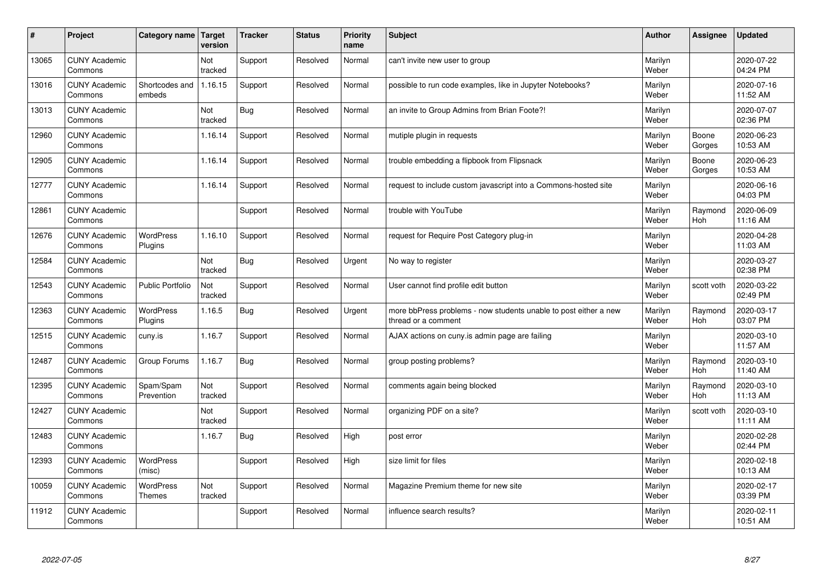| $\vert$ # | Project                         | Category name               | Target<br>version | <b>Tracker</b> | <b>Status</b> | <b>Priority</b><br>name | <b>Subject</b>                                                                          | <b>Author</b>    | <b>Assignee</b> | <b>Updated</b>         |
|-----------|---------------------------------|-----------------------------|-------------------|----------------|---------------|-------------------------|-----------------------------------------------------------------------------------------|------------------|-----------------|------------------------|
| 13065     | <b>CUNY Academic</b><br>Commons |                             | Not<br>tracked    | Support        | Resolved      | Normal                  | can't invite new user to group                                                          | Marilyn<br>Weber |                 | 2020-07-22<br>04:24 PM |
| 13016     | <b>CUNY Academic</b><br>Commons | Shortcodes and<br>embeds    | 1.16.15           | Support        | Resolved      | Normal                  | possible to run code examples, like in Jupyter Notebooks?                               | Marilyn<br>Weber |                 | 2020-07-16<br>11:52 AM |
| 13013     | <b>CUNY Academic</b><br>Commons |                             | Not<br>tracked    | <b>Bug</b>     | Resolved      | Normal                  | an invite to Group Admins from Brian Foote?!                                            | Marilyn<br>Weber |                 | 2020-07-07<br>02:36 PM |
| 12960     | <b>CUNY Academic</b><br>Commons |                             | 1.16.14           | Support        | Resolved      | Normal                  | mutiple plugin in requests                                                              | Marilyn<br>Weber | Boone<br>Gorges | 2020-06-23<br>10:53 AM |
| 12905     | <b>CUNY Academic</b><br>Commons |                             | 1.16.14           | Support        | Resolved      | Normal                  | trouble embedding a flipbook from Flipsnack                                             | Marilyn<br>Weber | Boone<br>Gorges | 2020-06-23<br>10:53 AM |
| 12777     | <b>CUNY Academic</b><br>Commons |                             | 1.16.14           | Support        | Resolved      | Normal                  | request to include custom javascript into a Commons-hosted site                         | Marilyn<br>Weber |                 | 2020-06-16<br>04:03 PM |
| 12861     | <b>CUNY Academic</b><br>Commons |                             |                   | Support        | Resolved      | Normal                  | trouble with YouTube                                                                    | Marilyn<br>Weber | Raymond<br>Hoh  | 2020-06-09<br>11:16 AM |
| 12676     | <b>CUNY Academic</b><br>Commons | <b>WordPress</b><br>Plugins | 1.16.10           | Support        | Resolved      | Normal                  | request for Require Post Category plug-in                                               | Marilyn<br>Weber |                 | 2020-04-28<br>11:03 AM |
| 12584     | <b>CUNY Academic</b><br>Commons |                             | Not<br>tracked    | <b>Bug</b>     | Resolved      | Urgent                  | No way to register                                                                      | Marilyn<br>Weber |                 | 2020-03-27<br>02:38 PM |
| 12543     | <b>CUNY Academic</b><br>Commons | <b>Public Portfolio</b>     | Not<br>tracked    | Support        | Resolved      | Normal                  | User cannot find profile edit button                                                    | Marilyn<br>Weber | scott voth      | 2020-03-22<br>02:49 PM |
| 12363     | <b>CUNY Academic</b><br>Commons | WordPress<br>Plugins        | 1.16.5            | <b>Bug</b>     | Resolved      | Urgent                  | more bbPress problems - now students unable to post either a new<br>thread or a comment | Marilyn<br>Weber | Raymond<br>Hoh  | 2020-03-17<br>03:07 PM |
| 12515     | <b>CUNY Academic</b><br>Commons | cuny.is                     | 1.16.7            | Support        | Resolved      | Normal                  | AJAX actions on cuny is admin page are failing                                          | Marilyn<br>Weber |                 | 2020-03-10<br>11:57 AM |
| 12487     | <b>CUNY Academic</b><br>Commons | Group Forums                | 1.16.7            | <b>Bug</b>     | Resolved      | Normal                  | group posting problems?                                                                 | Marilyn<br>Weber | Raymond<br>Hoh  | 2020-03-10<br>11:40 AM |
| 12395     | <b>CUNY Academic</b><br>Commons | Spam/Spam<br>Prevention     | Not<br>tracked    | Support        | Resolved      | Normal                  | comments again being blocked                                                            | Marilyn<br>Weber | Raymond<br>Hoh  | 2020-03-10<br>11:13 AM |
| 12427     | <b>CUNY Academic</b><br>Commons |                             | Not<br>tracked    | Support        | Resolved      | Normal                  | organizing PDF on a site?                                                               | Marilyn<br>Weber | scott voth      | 2020-03-10<br>11:11 AM |
| 12483     | <b>CUNY Academic</b><br>Commons |                             | 1.16.7            | <b>Bug</b>     | Resolved      | High                    | post error                                                                              | Marilyn<br>Weber |                 | 2020-02-28<br>02:44 PM |
| 12393     | <b>CUNY Academic</b><br>Commons | <b>WordPress</b><br>(misc)  |                   | Support        | Resolved      | High                    | size limit for files                                                                    | Marilyn<br>Weber |                 | 2020-02-18<br>10:13 AM |
| 10059     | <b>CUNY Academic</b><br>Commons | WordPress<br><b>Themes</b>  | Not<br>tracked    | Support        | Resolved      | Normal                  | Magazine Premium theme for new site                                                     | Marilyn<br>Weber |                 | 2020-02-17<br>03:39 PM |
| 11912     | <b>CUNY Academic</b><br>Commons |                             |                   | Support        | Resolved      | Normal                  | influence search results?                                                               | Marilyn<br>Weber |                 | 2020-02-11<br>10:51 AM |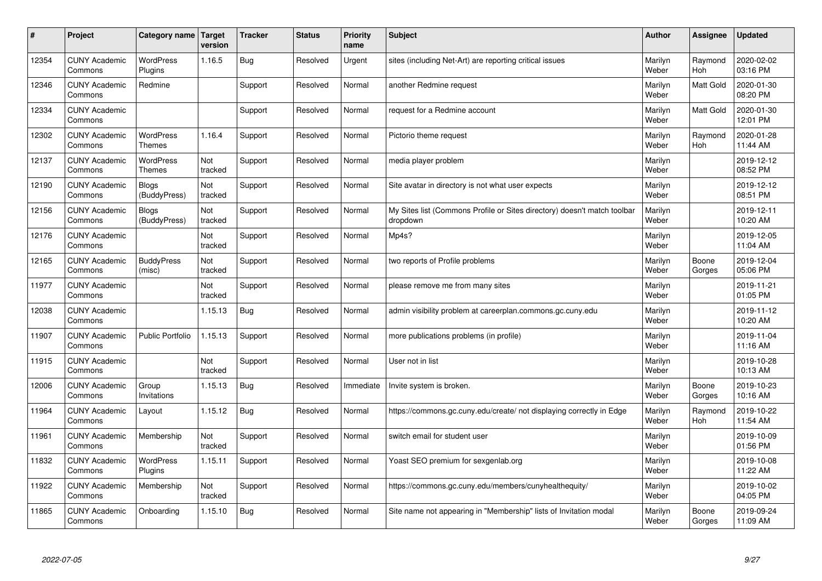| #     | Project                         | Category name                     | Target<br>version | <b>Tracker</b> | <b>Status</b> | <b>Priority</b><br>name | <b>Subject</b>                                                                       | <b>Author</b>    | Assignee              | <b>Updated</b>         |
|-------|---------------------------------|-----------------------------------|-------------------|----------------|---------------|-------------------------|--------------------------------------------------------------------------------------|------------------|-----------------------|------------------------|
| 12354 | <b>CUNY Academic</b><br>Commons | <b>WordPress</b><br>Plugins       | 1.16.5            | Bug            | Resolved      | Urgent                  | sites (including Net-Art) are reporting critical issues                              | Marilyn<br>Weber | Raymond<br><b>Hoh</b> | 2020-02-02<br>03:16 PM |
| 12346 | <b>CUNY Academic</b><br>Commons | Redmine                           |                   | Support        | Resolved      | Normal                  | another Redmine request                                                              | Marilyn<br>Weber | <b>Matt Gold</b>      | 2020-01-30<br>08:20 PM |
| 12334 | <b>CUNY Academic</b><br>Commons |                                   |                   | Support        | Resolved      | Normal                  | request for a Redmine account                                                        | Marilyn<br>Weber | <b>Matt Gold</b>      | 2020-01-30<br>12:01 PM |
| 12302 | <b>CUNY Academic</b><br>Commons | <b>WordPress</b><br><b>Themes</b> | 1.16.4            | Support        | Resolved      | Normal                  | Pictorio theme request                                                               | Marilyn<br>Weber | Raymond<br><b>Hoh</b> | 2020-01-28<br>11:44 AM |
| 12137 | <b>CUNY Academic</b><br>Commons | <b>WordPress</b><br><b>Themes</b> | Not<br>tracked    | Support        | Resolved      | Normal                  | media player problem                                                                 | Marilyn<br>Weber |                       | 2019-12-12<br>08:52 PM |
| 12190 | <b>CUNY Academic</b><br>Commons | Blogs<br>(BuddyPress)             | Not<br>tracked    | Support        | Resolved      | Normal                  | Site avatar in directory is not what user expects                                    | Marilyn<br>Weber |                       | 2019-12-12<br>08:51 PM |
| 12156 | <b>CUNY Academic</b><br>Commons | <b>Blogs</b><br>(BuddyPress)      | Not<br>tracked    | Support        | Resolved      | Normal                  | My Sites list (Commons Profile or Sites directory) doesn't match toolbar<br>dropdown | Marilyn<br>Weber |                       | 2019-12-11<br>10:20 AM |
| 12176 | <b>CUNY Academic</b><br>Commons |                                   | Not<br>tracked    | Support        | Resolved      | Normal                  | Mp4s?                                                                                | Marilyn<br>Weber |                       | 2019-12-05<br>11:04 AM |
| 12165 | <b>CUNY Academic</b><br>Commons | <b>BuddyPress</b><br>(misc)       | Not<br>tracked    | Support        | Resolved      | Normal                  | two reports of Profile problems                                                      | Marilyn<br>Weber | Boone<br>Gorges       | 2019-12-04<br>05:06 PM |
| 11977 | <b>CUNY Academic</b><br>Commons |                                   | Not<br>tracked    | Support        | Resolved      | Normal                  | please remove me from many sites                                                     | Marilyn<br>Weber |                       | 2019-11-21<br>01:05 PM |
| 12038 | <b>CUNY Academic</b><br>Commons |                                   | 1.15.13           | <b>Bug</b>     | Resolved      | Normal                  | admin visibility problem at careerplan.commons.gc.cuny.edu                           | Marilyn<br>Weber |                       | 2019-11-12<br>10:20 AM |
| 11907 | <b>CUNY Academic</b><br>Commons | <b>Public Portfolio</b>           | 1.15.13           | Support        | Resolved      | Normal                  | more publications problems (in profile)                                              | Marilyn<br>Weber |                       | 2019-11-04<br>11:16 AM |
| 11915 | <b>CUNY Academic</b><br>Commons |                                   | Not<br>tracked    | Support        | Resolved      | Normal                  | User not in list                                                                     | Marilyn<br>Weber |                       | 2019-10-28<br>10:13 AM |
| 12006 | <b>CUNY Academic</b><br>Commons | Group<br>Invitations              | 1.15.13           | Bug            | Resolved      | Immediate               | Invite system is broken.                                                             | Marilyn<br>Weber | Boone<br>Gorges       | 2019-10-23<br>10:16 AM |
| 11964 | <b>CUNY Academic</b><br>Commons | Layout                            | 1.15.12           | <b>Bug</b>     | Resolved      | Normal                  | https://commons.gc.cuny.edu/create/ not displaying correctly in Edge                 | Marilyn<br>Weber | Raymond<br><b>Hoh</b> | 2019-10-22<br>11:54 AM |
| 11961 | <b>CUNY Academic</b><br>Commons | Membership                        | Not<br>tracked    | Support        | Resolved      | Normal                  | switch email for student user                                                        | Marilyn<br>Weber |                       | 2019-10-09<br>01:56 PM |
| 11832 | <b>CUNY Academic</b><br>Commons | <b>WordPress</b><br>Plugins       | 1.15.11           | Support        | Resolved      | Normal                  | Yoast SEO premium for sexgenlab.org                                                  | Marilyn<br>Weber |                       | 2019-10-08<br>11:22 AM |
| 11922 | <b>CUNY Academic</b><br>Commons | Membership                        | Not<br>tracked    | Support        | Resolved      | Normal                  | https://commons.gc.cuny.edu/members/cunyhealthequity/                                | Marilyn<br>Weber |                       | 2019-10-02<br>04:05 PM |
| 11865 | <b>CUNY Academic</b><br>Commons | Onboarding                        | 1.15.10           | Bug            | Resolved      | Normal                  | Site name not appearing in "Membership" lists of Invitation modal                    | Marilyn<br>Weber | Boone<br>Gorges       | 2019-09-24<br>11:09 AM |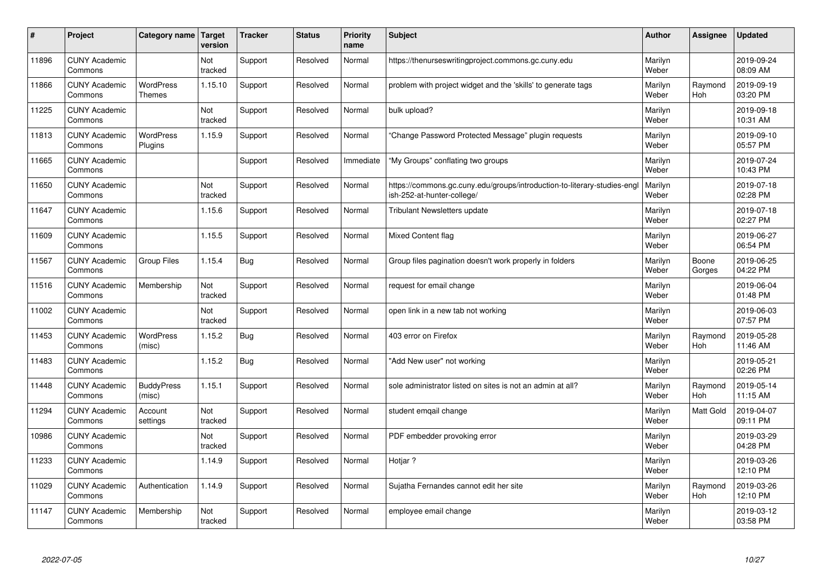| #     | Project                         | Category name                     | Target<br>version | <b>Tracker</b> | <b>Status</b> | <b>Priority</b><br>name | <b>Subject</b>                                                                                        | Author           | Assignee              | <b>Updated</b>         |
|-------|---------------------------------|-----------------------------------|-------------------|----------------|---------------|-------------------------|-------------------------------------------------------------------------------------------------------|------------------|-----------------------|------------------------|
| 11896 | <b>CUNY Academic</b><br>Commons |                                   | Not<br>tracked    | Support        | Resolved      | Normal                  | https://thenurseswritingproject.commons.gc.cuny.edu                                                   | Marilyn<br>Weber |                       | 2019-09-24<br>08:09 AM |
| 11866 | <b>CUNY Academic</b><br>Commons | <b>WordPress</b><br><b>Themes</b> | 1.15.10           | Support        | Resolved      | Normal                  | problem with project widget and the 'skills' to generate tags                                         | Marilyn<br>Weber | Raymond<br>Hoh        | 2019-09-19<br>03:20 PM |
| 11225 | <b>CUNY Academic</b><br>Commons |                                   | Not<br>tracked    | Support        | Resolved      | Normal                  | bulk upload?                                                                                          | Marilyn<br>Weber |                       | 2019-09-18<br>10:31 AM |
| 11813 | <b>CUNY Academic</b><br>Commons | <b>WordPress</b><br>Plugins       | 1.15.9            | Support        | Resolved      | Normal                  | 'Change Password Protected Message" plugin requests                                                   | Marilyn<br>Weber |                       | 2019-09-10<br>05:57 PM |
| 11665 | <b>CUNY Academic</b><br>Commons |                                   |                   | Support        | Resolved      | Immediate               | "My Groups" conflating two groups                                                                     | Marilyn<br>Weber |                       | 2019-07-24<br>10:43 PM |
| 11650 | <b>CUNY Academic</b><br>Commons |                                   | Not<br>tracked    | Support        | Resolved      | Normal                  | https://commons.gc.cuny.edu/groups/introduction-to-literary-studies-eng<br>ish-252-at-hunter-college/ | Marilyn<br>Weber |                       | 2019-07-18<br>02:28 PM |
| 11647 | <b>CUNY Academic</b><br>Commons |                                   | 1.15.6            | Support        | Resolved      | Normal                  | <b>Tribulant Newsletters update</b>                                                                   | Marilyn<br>Weber |                       | 2019-07-18<br>02:27 PM |
| 11609 | <b>CUNY Academic</b><br>Commons |                                   | 1.15.5            | Support        | Resolved      | Normal                  | <b>Mixed Content flag</b>                                                                             | Marilyn<br>Weber |                       | 2019-06-27<br>06:54 PM |
| 11567 | <b>CUNY Academic</b><br>Commons | <b>Group Files</b>                | 1.15.4            | <b>Bug</b>     | Resolved      | Normal                  | Group files pagination doesn't work properly in folders                                               | Marilyn<br>Weber | Boone<br>Gorges       | 2019-06-25<br>04:22 PM |
| 11516 | <b>CUNY Academic</b><br>Commons | Membership                        | Not<br>tracked    | Support        | Resolved      | Normal                  | request for email change                                                                              | Marilyn<br>Weber |                       | 2019-06-04<br>01:48 PM |
| 11002 | <b>CUNY Academic</b><br>Commons |                                   | Not<br>tracked    | Support        | Resolved      | Normal                  | open link in a new tab not working                                                                    | Marilyn<br>Weber |                       | 2019-06-03<br>07:57 PM |
| 11453 | <b>CUNY Academic</b><br>Commons | <b>WordPress</b><br>(misc)        | 1.15.2            | <b>Bug</b>     | Resolved      | Normal                  | 403 error on Firefox                                                                                  | Marilyn<br>Weber | Raymond<br>Hoh        | 2019-05-28<br>11:46 AM |
| 11483 | <b>CUNY Academic</b><br>Commons |                                   | 1.15.2            | <b>Bug</b>     | Resolved      | Normal                  | 'Add New user" not working                                                                            | Marilyn<br>Weber |                       | 2019-05-21<br>02:26 PM |
| 11448 | <b>CUNY Academic</b><br>Commons | <b>BuddyPress</b><br>(misc)       | 1.15.1            | Support        | Resolved      | Normal                  | sole administrator listed on sites is not an admin at all?                                            | Marilyn<br>Weber | Raymond<br><b>Hoh</b> | 2019-05-14<br>11:15 AM |
| 11294 | <b>CUNY Academic</b><br>Commons | Account<br>settings               | Not<br>tracked    | Support        | Resolved      | Normal                  | student emgail change                                                                                 | Marilyn<br>Weber | Matt Gold             | 2019-04-07<br>09:11 PM |
| 10986 | <b>CUNY Academic</b><br>Commons |                                   | Not<br>tracked    | Support        | Resolved      | Normal                  | PDF embedder provoking error                                                                          | Marilyn<br>Weber |                       | 2019-03-29<br>04:28 PM |
| 11233 | <b>CUNY Academic</b><br>Commons |                                   | 1.14.9            | Support        | Resolved      | Normal                  | Hotiar?                                                                                               | Marilyn<br>Weber |                       | 2019-03-26<br>12:10 PM |
| 11029 | <b>CUNY Academic</b><br>Commons | Authentication                    | 1.14.9            | Support        | Resolved      | Normal                  | Sujatha Fernandes cannot edit her site                                                                | Marilyn<br>Weber | Raymond<br>Hoh        | 2019-03-26<br>12:10 PM |
| 11147 | <b>CUNY Academic</b><br>Commons | Membership                        | Not<br>tracked    | Support        | Resolved      | Normal                  | employee email change                                                                                 | Marilyn<br>Weber |                       | 2019-03-12<br>03:58 PM |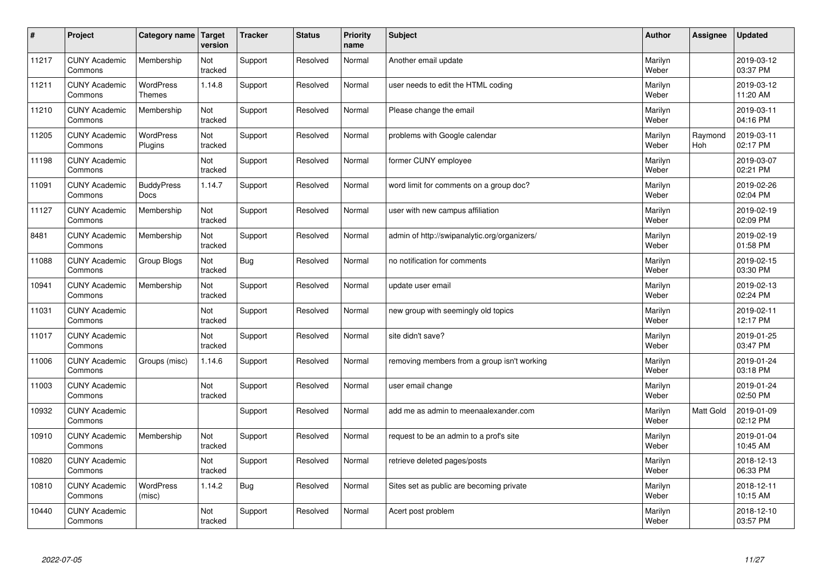| $\sharp$ | Project                         | Category name                     | Target<br>version | <b>Tracker</b> | <b>Status</b> | <b>Priority</b><br>name | <b>Subject</b>                               | <b>Author</b>    | Assignee              | <b>Updated</b>         |
|----------|---------------------------------|-----------------------------------|-------------------|----------------|---------------|-------------------------|----------------------------------------------|------------------|-----------------------|------------------------|
| 11217    | <b>CUNY Academic</b><br>Commons | Membership                        | Not<br>tracked    | Support        | Resolved      | Normal                  | Another email update                         | Marilyn<br>Weber |                       | 2019-03-12<br>03:37 PM |
| 11211    | <b>CUNY Academic</b><br>Commons | <b>WordPress</b><br><b>Themes</b> | 1.14.8            | Support        | Resolved      | Normal                  | user needs to edit the HTML coding           | Marilyn<br>Weber |                       | 2019-03-12<br>11:20 AM |
| 11210    | <b>CUNY Academic</b><br>Commons | Membership                        | Not<br>tracked    | Support        | Resolved      | Normal                  | Please change the email                      | Marilyn<br>Weber |                       | 2019-03-11<br>04:16 PM |
| 11205    | <b>CUNY Academic</b><br>Commons | <b>WordPress</b><br>Plugins       | Not<br>tracked    | Support        | Resolved      | Normal                  | problems with Google calendar                | Marilyn<br>Weber | Raymond<br><b>Hoh</b> | 2019-03-11<br>02:17 PM |
| 11198    | <b>CUNY Academic</b><br>Commons |                                   | Not<br>tracked    | Support        | Resolved      | Normal                  | former CUNY employee                         | Marilyn<br>Weber |                       | 2019-03-07<br>02:21 PM |
| 11091    | <b>CUNY Academic</b><br>Commons | <b>BuddyPress</b><br><b>Docs</b>  | 1.14.7            | Support        | Resolved      | Normal                  | word limit for comments on a group doc?      | Marilyn<br>Weber |                       | 2019-02-26<br>02:04 PM |
| 11127    | <b>CUNY Academic</b><br>Commons | Membership                        | Not<br>tracked    | Support        | Resolved      | Normal                  | user with new campus affiliation             | Marilyn<br>Weber |                       | 2019-02-19<br>02:09 PM |
| 8481     | <b>CUNY Academic</b><br>Commons | Membership                        | Not<br>tracked    | Support        | Resolved      | Normal                  | admin of http://swipanalytic.org/organizers/ | Marilyn<br>Weber |                       | 2019-02-19<br>01:58 PM |
| 11088    | <b>CUNY Academic</b><br>Commons | Group Blogs                       | Not<br>tracked    | Bug            | Resolved      | Normal                  | no notification for comments                 | Marilyn<br>Weber |                       | 2019-02-15<br>03:30 PM |
| 10941    | <b>CUNY Academic</b><br>Commons | Membership                        | Not<br>tracked    | Support        | Resolved      | Normal                  | update user email                            | Marilyn<br>Weber |                       | 2019-02-13<br>02:24 PM |
| 11031    | <b>CUNY Academic</b><br>Commons |                                   | Not<br>tracked    | Support        | Resolved      | Normal                  | new group with seemingly old topics          | Marilyn<br>Weber |                       | 2019-02-11<br>12:17 PM |
| 11017    | <b>CUNY Academic</b><br>Commons |                                   | Not<br>tracked    | Support        | Resolved      | Normal                  | site didn't save?                            | Marilyn<br>Weber |                       | 2019-01-25<br>03:47 PM |
| 11006    | <b>CUNY Academic</b><br>Commons | Groups (misc)                     | 1.14.6            | Support        | Resolved      | Normal                  | removing members from a group isn't working  | Marilyn<br>Weber |                       | 2019-01-24<br>03:18 PM |
| 11003    | <b>CUNY Academic</b><br>Commons |                                   | Not<br>tracked    | Support        | Resolved      | Normal                  | user email change                            | Marilyn<br>Weber |                       | 2019-01-24<br>02:50 PM |
| 10932    | <b>CUNY Academic</b><br>Commons |                                   |                   | Support        | Resolved      | Normal                  | add me as admin to meenaalexander.com        | Marilyn<br>Weber | Matt Gold             | 2019-01-09<br>02:12 PM |
| 10910    | <b>CUNY Academic</b><br>Commons | Membership                        | Not<br>tracked    | Support        | Resolved      | Normal                  | request to be an admin to a prof's site      | Marilyn<br>Weber |                       | 2019-01-04<br>10:45 AM |
| 10820    | <b>CUNY Academic</b><br>Commons |                                   | Not<br>tracked    | Support        | Resolved      | Normal                  | retrieve deleted pages/posts                 | Marilyn<br>Weber |                       | 2018-12-13<br>06:33 PM |
| 10810    | <b>CUNY Academic</b><br>Commons | <b>WordPress</b><br>(misc)        | 1.14.2            | Bug            | Resolved      | Normal                  | Sites set as public are becoming private     | Marilyn<br>Weber |                       | 2018-12-11<br>10:15 AM |
| 10440    | <b>CUNY Academic</b><br>Commons |                                   | Not<br>tracked    | Support        | Resolved      | Normal                  | Acert post problem                           | Marilyn<br>Weber |                       | 2018-12-10<br>03:57 PM |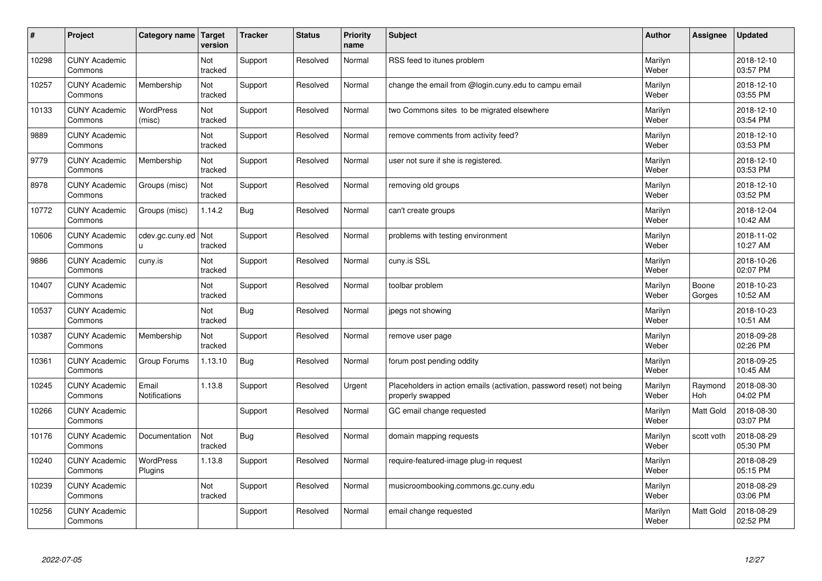| #     | Project                         | Category name               | Target<br>version | <b>Tracker</b> | <b>Status</b> | <b>Priority</b><br>name | <b>Subject</b>                                                                           | <b>Author</b>    | Assignee        | <b>Updated</b>         |
|-------|---------------------------------|-----------------------------|-------------------|----------------|---------------|-------------------------|------------------------------------------------------------------------------------------|------------------|-----------------|------------------------|
| 10298 | <b>CUNY Academic</b><br>Commons |                             | Not<br>tracked    | Support        | Resolved      | Normal                  | RSS feed to itunes problem                                                               | Marilyn<br>Weber |                 | 2018-12-10<br>03:57 PM |
| 10257 | <b>CUNY Academic</b><br>Commons | Membership                  | Not<br>tracked    | Support        | Resolved      | Normal                  | change the email from @login.cuny.edu to campu email                                     | Marilyn<br>Weber |                 | 2018-12-10<br>03:55 PM |
| 10133 | <b>CUNY Academic</b><br>Commons | <b>WordPress</b><br>(misc)  | Not<br>tracked    | Support        | Resolved      | Normal                  | two Commons sites to be migrated elsewhere                                               | Marilyn<br>Weber |                 | 2018-12-10<br>03:54 PM |
| 9889  | <b>CUNY Academic</b><br>Commons |                             | Not<br>tracked    | Support        | Resolved      | Normal                  | remove comments from activity feed?                                                      | Marilyn<br>Weber |                 | 2018-12-10<br>03:53 PM |
| 9779  | <b>CUNY Academic</b><br>Commons | Membership                  | Not<br>tracked    | Support        | Resolved      | Normal                  | user not sure if she is registered.                                                      | Marilyn<br>Weber |                 | 2018-12-10<br>03:53 PM |
| 8978  | <b>CUNY Academic</b><br>Commons | Groups (misc)               | Not<br>tracked    | Support        | Resolved      | Normal                  | removing old groups                                                                      | Marilyn<br>Weber |                 | 2018-12-10<br>03:52 PM |
| 10772 | <b>CUNY Academic</b><br>Commons | Groups (misc)               | 1.14.2            | <b>Bug</b>     | Resolved      | Normal                  | can't create groups                                                                      | Marilyn<br>Weber |                 | 2018-12-04<br>10:42 AM |
| 10606 | <b>CUNY Academic</b><br>Commons | cdev.gc.cuny.ed<br>u.       | Not<br>tracked    | Support        | Resolved      | Normal                  | problems with testing environment                                                        | Marilyn<br>Weber |                 | 2018-11-02<br>10:27 AM |
| 9886  | <b>CUNY Academic</b><br>Commons | cuny.is                     | Not<br>tracked    | Support        | Resolved      | Normal                  | cuny.is SSL                                                                              | Marilyn<br>Weber |                 | 2018-10-26<br>02:07 PM |
| 10407 | <b>CUNY Academic</b><br>Commons |                             | Not<br>tracked    | Support        | Resolved      | Normal                  | toolbar problem                                                                          | Marilyn<br>Weber | Boone<br>Gorges | 2018-10-23<br>10:52 AM |
| 10537 | <b>CUNY Academic</b><br>Commons |                             | Not<br>tracked    | <b>Bug</b>     | Resolved      | Normal                  | jpegs not showing                                                                        | Marilyn<br>Weber |                 | 2018-10-23<br>10:51 AM |
| 10387 | <b>CUNY Academic</b><br>Commons | Membership                  | Not<br>tracked    | Support        | Resolved      | Normal                  | remove user page                                                                         | Marilyn<br>Weber |                 | 2018-09-28<br>02:26 PM |
| 10361 | <b>CUNY Academic</b><br>Commons | Group Forums                | 1.13.10           | <b>Bug</b>     | Resolved      | Normal                  | forum post pending oddity                                                                | Marilyn<br>Weber |                 | 2018-09-25<br>10:45 AM |
| 10245 | <b>CUNY Academic</b><br>Commons | Email<br>Notifications      | 1.13.8            | Support        | Resolved      | Urgent                  | Placeholders in action emails (activation, password reset) not being<br>properly swapped | Marilyn<br>Weber | Raymond<br>Hoh  | 2018-08-30<br>04:02 PM |
| 10266 | <b>CUNY Academic</b><br>Commons |                             |                   | Support        | Resolved      | Normal                  | GC email change requested                                                                | Marilyn<br>Weber | Matt Gold       | 2018-08-30<br>03:07 PM |
| 10176 | <b>CUNY Academic</b><br>Commons | Documentation               | Not<br>tracked    | Bug            | Resolved      | Normal                  | domain mapping requests                                                                  | Marilyn<br>Weber | scott voth      | 2018-08-29<br>05:30 PM |
| 10240 | <b>CUNY Academic</b><br>Commons | <b>WordPress</b><br>Plugins | 1.13.8            | Support        | Resolved      | Normal                  | require-featured-image plug-in request                                                   | Marilyn<br>Weber |                 | 2018-08-29<br>05:15 PM |
| 10239 | <b>CUNY Academic</b><br>Commons |                             | Not<br>tracked    | Support        | Resolved      | Normal                  | musicroombooking.commons.gc.cuny.edu                                                     | Marilyn<br>Weber |                 | 2018-08-29<br>03:06 PM |
| 10256 | <b>CUNY Academic</b><br>Commons |                             |                   | Support        | Resolved      | Normal                  | email change requested                                                                   | Marilyn<br>Weber | Matt Gold       | 2018-08-29<br>02:52 PM |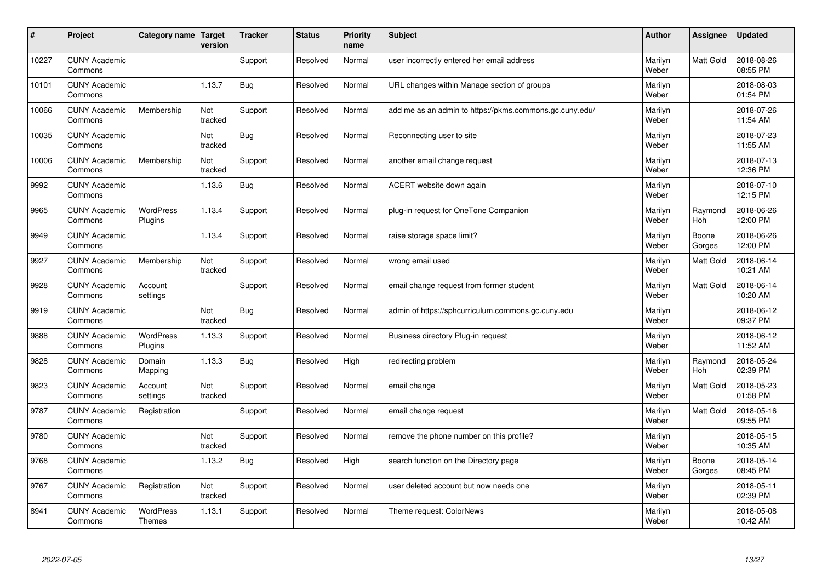| #     | Project                         | Category name                     | Target<br>version | <b>Tracker</b> | <b>Status</b> | <b>Priority</b><br>name | <b>Subject</b>                                          | <b>Author</b>    | Assignee         | <b>Updated</b>         |
|-------|---------------------------------|-----------------------------------|-------------------|----------------|---------------|-------------------------|---------------------------------------------------------|------------------|------------------|------------------------|
| 10227 | <b>CUNY Academic</b><br>Commons |                                   |                   | Support        | Resolved      | Normal                  | user incorrectly entered her email address              | Marilyn<br>Weber | <b>Matt Gold</b> | 2018-08-26<br>08:55 PM |
| 10101 | <b>CUNY Academic</b><br>Commons |                                   | 1.13.7            | Bug            | Resolved      | Normal                  | URL changes within Manage section of groups             | Marilyn<br>Weber |                  | 2018-08-03<br>01:54 PM |
| 10066 | <b>CUNY Academic</b><br>Commons | Membership                        | Not<br>tracked    | Support        | Resolved      | Normal                  | add me as an admin to https://pkms.commons.gc.cuny.edu/ | Marilyn<br>Weber |                  | 2018-07-26<br>11:54 AM |
| 10035 | <b>CUNY Academic</b><br>Commons |                                   | Not<br>tracked    | Bug            | Resolved      | Normal                  | Reconnecting user to site                               | Marilyn<br>Weber |                  | 2018-07-23<br>11:55 AM |
| 10006 | <b>CUNY Academic</b><br>Commons | Membership                        | Not<br>tracked    | Support        | Resolved      | Normal                  | another email change request                            | Marilyn<br>Weber |                  | 2018-07-13<br>12:36 PM |
| 9992  | <b>CUNY Academic</b><br>Commons |                                   | 1.13.6            | Bug            | Resolved      | Normal                  | ACERT website down again                                | Marilyn<br>Weber |                  | 2018-07-10<br>12:15 PM |
| 9965  | <b>CUNY Academic</b><br>Commons | <b>WordPress</b><br>Plugins       | 1.13.4            | Support        | Resolved      | Normal                  | plug-in request for OneTone Companion                   | Marilyn<br>Weber | Raymond<br>Hoh   | 2018-06-26<br>12:00 PM |
| 9949  | <b>CUNY Academic</b><br>Commons |                                   | 1.13.4            | Support        | Resolved      | Normal                  | raise storage space limit?                              | Marilyn<br>Weber | Boone<br>Gorges  | 2018-06-26<br>12:00 PM |
| 9927  | <b>CUNY Academic</b><br>Commons | Membership                        | Not<br>tracked    | Support        | Resolved      | Normal                  | wrong email used                                        | Marilyn<br>Weber | <b>Matt Gold</b> | 2018-06-14<br>10:21 AM |
| 9928  | <b>CUNY Academic</b><br>Commons | Account<br>settings               |                   | Support        | Resolved      | Normal                  | email change request from former student                | Marilyn<br>Weber | Matt Gold        | 2018-06-14<br>10:20 AM |
| 9919  | <b>CUNY Academic</b><br>Commons |                                   | Not<br>tracked    | Bug            | Resolved      | Normal                  | admin of https://sphcurriculum.commons.gc.cuny.edu      | Marilyn<br>Weber |                  | 2018-06-12<br>09:37 PM |
| 9888  | <b>CUNY Academic</b><br>Commons | <b>WordPress</b><br>Plugins       | 1.13.3            | Support        | Resolved      | Normal                  | Business directory Plug-in request                      | Marilyn<br>Weber |                  | 2018-06-12<br>11:52 AM |
| 9828  | <b>CUNY Academic</b><br>Commons | Domain<br>Mapping                 | 1.13.3            | <b>Bug</b>     | Resolved      | High                    | redirecting problem                                     | Marilyn<br>Weber | Raymond<br>Hoh   | 2018-05-24<br>02:39 PM |
| 9823  | <b>CUNY Academic</b><br>Commons | Account<br>settings               | Not<br>tracked    | Support        | Resolved      | Normal                  | email change                                            | Marilyn<br>Weber | <b>Matt Gold</b> | 2018-05-23<br>01:58 PM |
| 9787  | <b>CUNY Academic</b><br>Commons | Registration                      |                   | Support        | Resolved      | Normal                  | email change request                                    | Marilyn<br>Weber | Matt Gold        | 2018-05-16<br>09:55 PM |
| 9780  | <b>CUNY Academic</b><br>Commons |                                   | Not<br>tracked    | Support        | Resolved      | Normal                  | remove the phone number on this profile?                | Marilyn<br>Weber |                  | 2018-05-15<br>10:35 AM |
| 9768  | <b>CUNY Academic</b><br>Commons |                                   | 1.13.2            | Bug            | Resolved      | High                    | search function on the Directory page                   | Marilyn<br>Weber | Boone<br>Gorges  | 2018-05-14<br>08:45 PM |
| 9767  | <b>CUNY Academic</b><br>Commons | Registration                      | Not<br>tracked    | Support        | Resolved      | Normal                  | user deleted account but now needs one                  | Marilyn<br>Weber |                  | 2018-05-11<br>02:39 PM |
| 8941  | <b>CUNY Academic</b><br>Commons | <b>WordPress</b><br><b>Themes</b> | 1.13.1            | Support        | Resolved      | Normal                  | Theme request: ColorNews                                | Marilyn<br>Weber |                  | 2018-05-08<br>10:42 AM |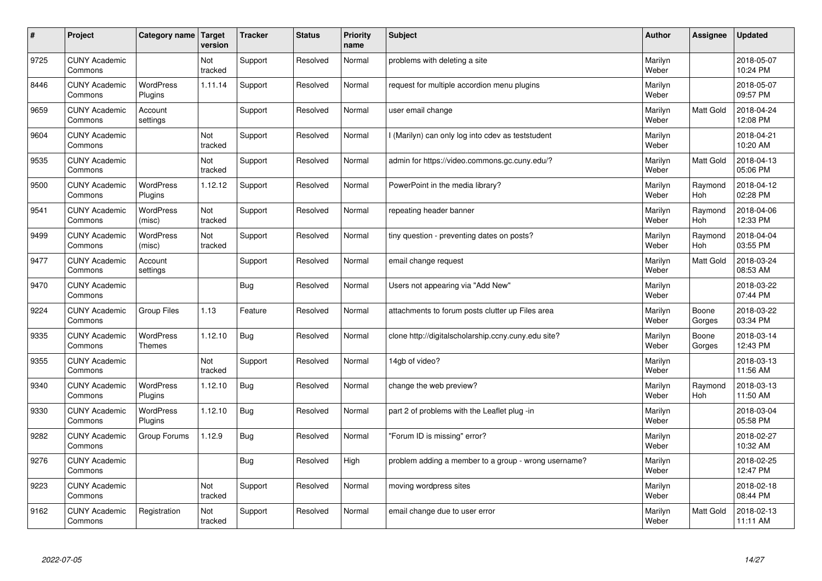| $\sharp$ | Project                         | Category name   Target             | version        | <b>Tracker</b> | <b>Status</b> | <b>Priority</b><br>name | <b>Subject</b>                                       | <b>Author</b>    | Assignee              | <b>Updated</b>         |
|----------|---------------------------------|------------------------------------|----------------|----------------|---------------|-------------------------|------------------------------------------------------|------------------|-----------------------|------------------------|
| 9725     | <b>CUNY Academic</b><br>Commons |                                    | Not<br>tracked | Support        | Resolved      | Normal                  | problems with deleting a site                        | Marilyn<br>Weber |                       | 2018-05-07<br>10:24 PM |
| 8446     | <b>CUNY Academic</b><br>Commons | <b>WordPress</b><br>Plugins        | 1.11.14        | Support        | Resolved      | Normal                  | request for multiple accordion menu plugins          | Marilyn<br>Weber |                       | 2018-05-07<br>09:57 PM |
| 9659     | <b>CUNY Academic</b><br>Commons | Account<br>settings                |                | Support        | Resolved      | Normal                  | user email change                                    | Marilyn<br>Weber | Matt Gold             | 2018-04-24<br>12:08 PM |
| 9604     | <b>CUNY Academic</b><br>Commons |                                    | Not<br>tracked | Support        | Resolved      | Normal                  | I (Marilyn) can only log into cdev as teststudent    | Marilyn<br>Weber |                       | 2018-04-21<br>10:20 AM |
| 9535     | <b>CUNY Academic</b><br>Commons |                                    | Not<br>tracked | Support        | Resolved      | Normal                  | admin for https://video.commons.gc.cuny.edu/?        | Marilyn<br>Weber | <b>Matt Gold</b>      | 2018-04-13<br>05:06 PM |
| 9500     | <b>CUNY Academic</b><br>Commons | <b>WordPress</b><br><b>Plugins</b> | 1.12.12        | Support        | Resolved      | Normal                  | PowerPoint in the media library?                     | Marilyn<br>Weber | Raymond<br>Hoh        | 2018-04-12<br>02:28 PM |
| 9541     | <b>CUNY Academic</b><br>Commons | <b>WordPress</b><br>(misc)         | Not<br>tracked | Support        | Resolved      | Normal                  | repeating header banner                              | Marilyn<br>Weber | Raymond<br>Hoh        | 2018-04-06<br>12:33 PM |
| 9499     | <b>CUNY Academic</b><br>Commons | WordPress<br>(misc)                | Not<br>tracked | Support        | Resolved      | Normal                  | tiny question - preventing dates on posts?           | Marilyn<br>Weber | Raymond<br><b>Hoh</b> | 2018-04-04<br>03:55 PM |
| 9477     | <b>CUNY Academic</b><br>Commons | Account<br>settings                |                | Support        | Resolved      | Normal                  | email change request                                 | Marilyn<br>Weber | <b>Matt Gold</b>      | 2018-03-24<br>08:53 AM |
| 9470     | <b>CUNY Academic</b><br>Commons |                                    |                | Bug            | Resolved      | Normal                  | Users not appearing via "Add New"                    | Marilyn<br>Weber |                       | 2018-03-22<br>07:44 PM |
| 9224     | <b>CUNY Academic</b><br>Commons | Group Files                        | 1.13           | Feature        | Resolved      | Normal                  | attachments to forum posts clutter up Files area     | Marilyn<br>Weber | Boone<br>Gorges       | 2018-03-22<br>03:34 PM |
| 9335     | <b>CUNY Academic</b><br>Commons | WordPress<br>Themes                | 1.12.10        | <b>Bug</b>     | Resolved      | Normal                  | clone http://digitalscholarship.ccny.cuny.edu site?  | Marilyn<br>Weber | Boone<br>Gorges       | 2018-03-14<br>12:43 PM |
| 9355     | <b>CUNY Academic</b><br>Commons |                                    | Not<br>tracked | Support        | Resolved      | Normal                  | 14gb of video?                                       | Marilyn<br>Weber |                       | 2018-03-13<br>11:56 AM |
| 9340     | <b>CUNY Academic</b><br>Commons | <b>WordPress</b><br>Plugins        | 1.12.10        | Bug            | Resolved      | Normal                  | change the web preview?                              | Marilyn<br>Weber | Raymond<br><b>Hoh</b> | 2018-03-13<br>11:50 AM |
| 9330     | <b>CUNY Academic</b><br>Commons | WordPress<br>Plugins               | 1.12.10        | Bug            | Resolved      | Normal                  | part 2 of problems with the Leaflet plug -in         | Marilyn<br>Weber |                       | 2018-03-04<br>05:58 PM |
| 9282     | <b>CUNY Academic</b><br>Commons | Group Forums                       | 1.12.9         | Bug            | Resolved      | Normal                  | "Forum ID is missing" error?                         | Marilyn<br>Weber |                       | 2018-02-27<br>10:32 AM |
| 9276     | <b>CUNY Academic</b><br>Commons |                                    |                | Bug            | Resolved      | High                    | problem adding a member to a group - wrong username? | Marilyn<br>Weber |                       | 2018-02-25<br>12:47 PM |
| 9223     | <b>CUNY Academic</b><br>Commons |                                    | Not<br>tracked | Support        | Resolved      | Normal                  | moving wordpress sites                               | Marilyn<br>Weber |                       | 2018-02-18<br>08:44 PM |
| 9162     | <b>CUNY Academic</b><br>Commons | Registration                       | Not<br>tracked | Support        | Resolved      | Normal                  | email change due to user error                       | Marilyn<br>Weber | <b>Matt Gold</b>      | 2018-02-13<br>11:11 AM |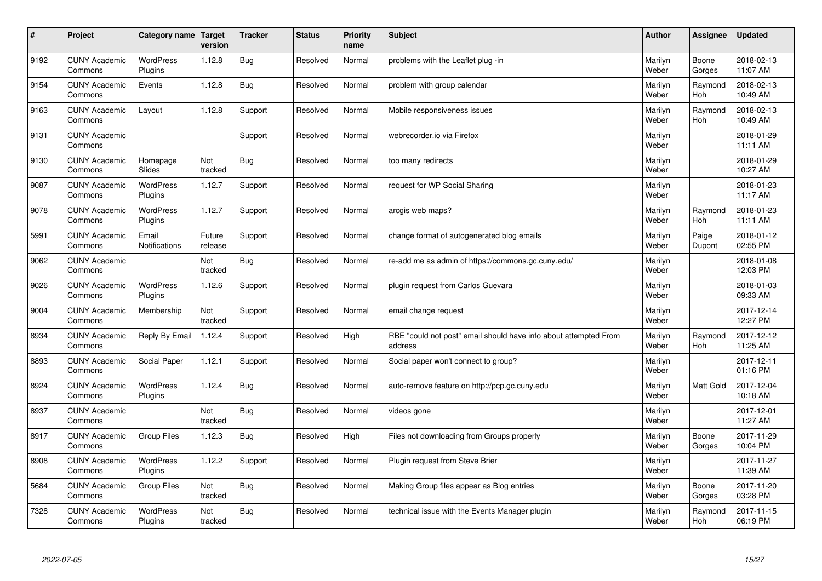| $\pmb{\#}$ | Project                         | Category name               | <b>Target</b><br>version | <b>Tracker</b> | <b>Status</b> | <b>Priority</b><br>name | <b>Subject</b>                                                              | <b>Author</b>    | Assignee              | <b>Updated</b>         |
|------------|---------------------------------|-----------------------------|--------------------------|----------------|---------------|-------------------------|-----------------------------------------------------------------------------|------------------|-----------------------|------------------------|
| 9192       | <b>CUNY Academic</b><br>Commons | <b>WordPress</b><br>Plugins | 1.12.8                   | <b>Bug</b>     | Resolved      | Normal                  | problems with the Leaflet plug -in                                          | Marilyn<br>Weber | Boone<br>Gorges       | 2018-02-13<br>11:07 AM |
| 9154       | <b>CUNY Academic</b><br>Commons | Events                      | 1.12.8                   | Bug            | Resolved      | Normal                  | problem with group calendar                                                 | Marilyn<br>Weber | Raymond<br><b>Hoh</b> | 2018-02-13<br>10:49 AM |
| 9163       | <b>CUNY Academic</b><br>Commons | Layout                      | 1.12.8                   | Support        | Resolved      | Normal                  | Mobile responsiveness issues                                                | Marilyn<br>Weber | Raymond<br><b>Hoh</b> | 2018-02-13<br>10:49 AM |
| 9131       | <b>CUNY Academic</b><br>Commons |                             |                          | Support        | Resolved      | Normal                  | webrecorder.io via Firefox                                                  | Marilyn<br>Weber |                       | 2018-01-29<br>11:11 AM |
| 9130       | <b>CUNY Academic</b><br>Commons | Homepage<br><b>Slides</b>   | Not<br>tracked           | Bug            | Resolved      | Normal                  | too many redirects                                                          | Marilyn<br>Weber |                       | 2018-01-29<br>10:27 AM |
| 9087       | <b>CUNY Academic</b><br>Commons | <b>WordPress</b><br>Plugins | 1.12.7                   | Support        | Resolved      | Normal                  | request for WP Social Sharing                                               | Marilyn<br>Weber |                       | 2018-01-23<br>11:17 AM |
| 9078       | <b>CUNY Academic</b><br>Commons | WordPress<br>Plugins        | 1.12.7                   | Support        | Resolved      | Normal                  | arcgis web maps?                                                            | Marilyn<br>Weber | Raymond<br>Hoh        | 2018-01-23<br>11:11 AM |
| 5991       | <b>CUNY Academic</b><br>Commons | Email<br>Notifications      | Future<br>release        | Support        | Resolved      | Normal                  | change format of autogenerated blog emails                                  | Marilyn<br>Weber | Paige<br>Dupont       | 2018-01-12<br>02:55 PM |
| 9062       | <b>CUNY Academic</b><br>Commons |                             | Not<br>tracked           | Bug            | Resolved      | Normal                  | re-add me as admin of https://commons.gc.cuny.edu/                          | Marilyn<br>Weber |                       | 2018-01-08<br>12:03 PM |
| 9026       | <b>CUNY Academic</b><br>Commons | <b>WordPress</b><br>Plugins | 1.12.6                   | Support        | Resolved      | Normal                  | plugin request from Carlos Guevara                                          | Marilyn<br>Weber |                       | 2018-01-03<br>09:33 AM |
| 9004       | <b>CUNY Academic</b><br>Commons | Membership                  | Not<br>tracked           | Support        | Resolved      | Normal                  | email change request                                                        | Marilyn<br>Weber |                       | 2017-12-14<br>12:27 PM |
| 8934       | <b>CUNY Academic</b><br>Commons | Reply By Email              | 1.12.4                   | Support        | Resolved      | High                    | RBE "could not post" email should have info about attempted From<br>address | Marilyn<br>Weber | Raymond<br>Hoh        | 2017-12-12<br>11:25 AM |
| 8893       | <b>CUNY Academic</b><br>Commons | Social Paper                | 1.12.1                   | Support        | Resolved      | Normal                  | Social paper won't connect to group?                                        | Marilyn<br>Weber |                       | 2017-12-11<br>01:16 PM |
| 8924       | <b>CUNY Academic</b><br>Commons | <b>WordPress</b><br>Plugins | 1.12.4                   | <b>Bug</b>     | Resolved      | Normal                  | auto-remove feature on http://pcp.gc.cuny.edu                               | Marilyn<br>Weber | Matt Gold             | 2017-12-04<br>10:18 AM |
| 8937       | <b>CUNY Academic</b><br>Commons |                             | Not<br>tracked           | <b>Bug</b>     | Resolved      | Normal                  | videos gone                                                                 | Marilyn<br>Weber |                       | 2017-12-01<br>11:27 AM |
| 8917       | <b>CUNY Academic</b><br>Commons | Group Files                 | 1.12.3                   | <b>Bug</b>     | Resolved      | High                    | Files not downloading from Groups properly                                  | Marilyn<br>Weber | Boone<br>Gorges       | 2017-11-29<br>10:04 PM |
| 8908       | <b>CUNY Academic</b><br>Commons | <b>WordPress</b><br>Plugins | 1.12.2                   | Support        | Resolved      | Normal                  | Plugin request from Steve Brier                                             | Marilyn<br>Weber |                       | 2017-11-27<br>11:39 AM |
| 5684       | <b>CUNY Academic</b><br>Commons | <b>Group Files</b>          | Not<br>tracked           | <b>Bug</b>     | Resolved      | Normal                  | Making Group files appear as Blog entries                                   | Marilyn<br>Weber | Boone<br>Gorges       | 2017-11-20<br>03:28 PM |
| 7328       | <b>CUNY Academic</b><br>Commons | <b>WordPress</b><br>Plugins | Not<br>tracked           | <b>Bug</b>     | Resolved      | Normal                  | technical issue with the Events Manager plugin                              | Marilyn<br>Weber | Raymond<br>Hoh        | 2017-11-15<br>06:19 PM |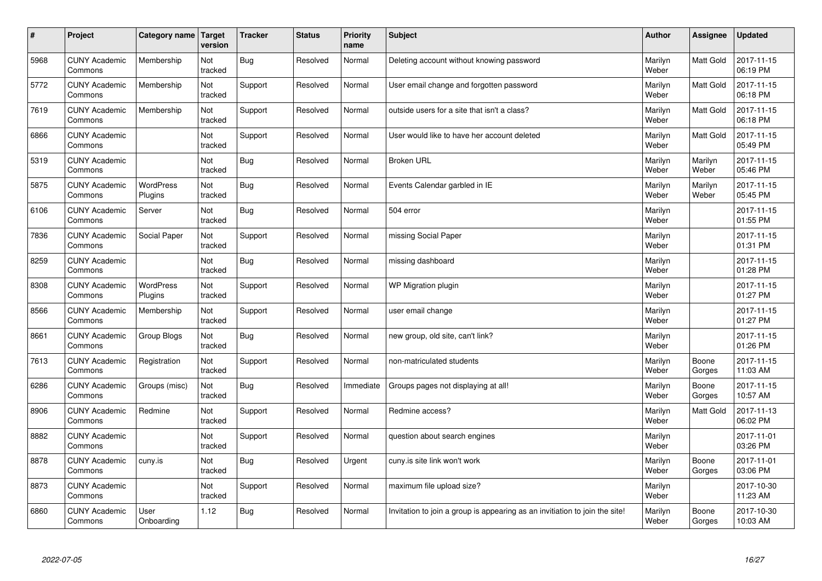| $\sharp$ | Project                         | Category name               | Target<br>version | <b>Tracker</b> | <b>Status</b> | <b>Priority</b><br>name | <b>Subject</b>                                                              | <b>Author</b>    | Assignee         | <b>Updated</b>         |
|----------|---------------------------------|-----------------------------|-------------------|----------------|---------------|-------------------------|-----------------------------------------------------------------------------|------------------|------------------|------------------------|
| 5968     | <b>CUNY Academic</b><br>Commons | Membership                  | Not<br>tracked    | <b>Bug</b>     | Resolved      | Normal                  | Deleting account without knowing password                                   | Marilyn<br>Weber | <b>Matt Gold</b> | 2017-11-15<br>06:19 PM |
| 5772     | <b>CUNY Academic</b><br>Commons | Membership                  | Not<br>tracked    | Support        | Resolved      | Normal                  | User email change and forgotten password                                    | Marilyn<br>Weber | <b>Matt Gold</b> | 2017-11-15<br>06:18 PM |
| 7619     | <b>CUNY Academic</b><br>Commons | Membership                  | Not<br>tracked    | Support        | Resolved      | Normal                  | outside users for a site that isn't a class?                                | Marilyn<br>Weber | <b>Matt Gold</b> | 2017-11-15<br>06:18 PM |
| 6866     | <b>CUNY Academic</b><br>Commons |                             | Not<br>tracked    | Support        | Resolved      | Normal                  | User would like to have her account deleted                                 | Marilyn<br>Weber | Matt Gold        | 2017-11-15<br>05:49 PM |
| 5319     | <b>CUNY Academic</b><br>Commons |                             | Not<br>tracked    | <b>Bug</b>     | Resolved      | Normal                  | <b>Broken URL</b>                                                           | Marilyn<br>Weber | Marilyn<br>Weber | 2017-11-15<br>05:46 PM |
| 5875     | <b>CUNY Academic</b><br>Commons | <b>WordPress</b><br>Plugins | Not<br>tracked    | <b>Bug</b>     | Resolved      | Normal                  | Events Calendar garbled in IE                                               | Marilyn<br>Weber | Marilyn<br>Weber | 2017-11-15<br>05:45 PM |
| 6106     | <b>CUNY Academic</b><br>Commons | Server                      | Not<br>tracked    | <b>Bug</b>     | Resolved      | Normal                  | 504 error                                                                   | Marilyn<br>Weber |                  | 2017-11-15<br>01:55 PM |
| 7836     | <b>CUNY Academic</b><br>Commons | Social Paper                | Not<br>tracked    | Support        | Resolved      | Normal                  | missing Social Paper                                                        | Marilyn<br>Weber |                  | 2017-11-15<br>01:31 PM |
| 8259     | <b>CUNY Academic</b><br>Commons |                             | Not<br>tracked    | <b>Bug</b>     | Resolved      | Normal                  | missing dashboard                                                           | Marilyn<br>Weber |                  | 2017-11-15<br>01:28 PM |
| 8308     | <b>CUNY Academic</b><br>Commons | WordPress<br>Plugins        | Not<br>tracked    | Support        | Resolved      | Normal                  | WP Migration plugin                                                         | Marilyn<br>Weber |                  | 2017-11-15<br>01:27 PM |
| 8566     | <b>CUNY Academic</b><br>Commons | Membership                  | Not<br>tracked    | Support        | Resolved      | Normal                  | user email change                                                           | Marilyn<br>Weber |                  | 2017-11-15<br>01:27 PM |
| 8661     | <b>CUNY Academic</b><br>Commons | Group Blogs                 | Not<br>tracked    | <b>Bug</b>     | Resolved      | Normal                  | new group, old site, can't link?                                            | Marilyn<br>Weber |                  | 2017-11-15<br>01:26 PM |
| 7613     | <b>CUNY Academic</b><br>Commons | Registration                | Not<br>tracked    | Support        | Resolved      | Normal                  | non-matriculated students                                                   | Marilyn<br>Weber | Boone<br>Gorges  | 2017-11-15<br>11:03 AM |
| 6286     | <b>CUNY Academic</b><br>Commons | Groups (misc)               | Not<br>tracked    | <b>Bug</b>     | Resolved      | Immediate               | Groups pages not displaying at all!                                         | Marilyn<br>Weber | Boone<br>Gorges  | 2017-11-15<br>10:57 AM |
| 8906     | <b>CUNY Academic</b><br>Commons | Redmine                     | Not<br>tracked    | Support        | Resolved      | Normal                  | Redmine access?                                                             | Marilyn<br>Weber | Matt Gold        | 2017-11-13<br>06:02 PM |
| 8882     | <b>CUNY Academic</b><br>Commons |                             | Not<br>tracked    | Support        | Resolved      | Normal                  | question about search engines                                               | Marilyn<br>Weber |                  | 2017-11-01<br>03:26 PM |
| 8878     | <b>CUNY Academic</b><br>Commons | cuny.is                     | Not<br>tracked    | <b>Bug</b>     | Resolved      | Urgent                  | cuny is site link won't work                                                | Marilyn<br>Weber | Boone<br>Gorges  | 2017-11-01<br>03:06 PM |
| 8873     | <b>CUNY Academic</b><br>Commons |                             | Not<br>tracked    | Support        | Resolved      | Normal                  | maximum file upload size?                                                   | Marilyn<br>Weber |                  | 2017-10-30<br>11:23 AM |
| 6860     | <b>CUNY Academic</b><br>Commons | User<br>Onboarding          | 1.12              | Bug            | Resolved      | Normal                  | Invitation to join a group is appearing as an invitiation to join the site! | Marilyn<br>Weber | Boone<br>Gorges  | 2017-10-30<br>10:03 AM |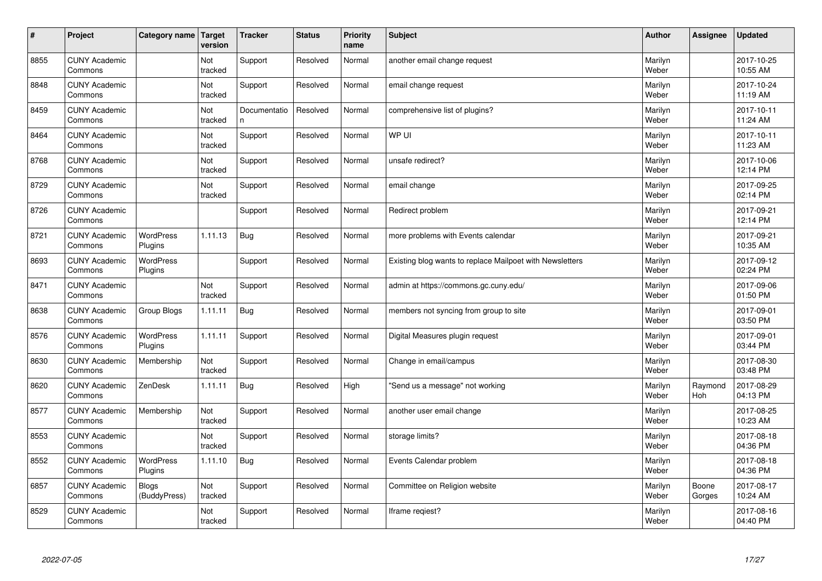| $\sharp$ | Project                         | Category name                | Target<br>version | <b>Tracker</b>    | <b>Status</b> | <b>Priority</b><br>name | <b>Subject</b>                                           | <b>Author</b>    | Assignee        | <b>Updated</b>         |
|----------|---------------------------------|------------------------------|-------------------|-------------------|---------------|-------------------------|----------------------------------------------------------|------------------|-----------------|------------------------|
| 8855     | <b>CUNY Academic</b><br>Commons |                              | Not<br>tracked    | Support           | Resolved      | Normal                  | another email change request                             | Marilyn<br>Weber |                 | 2017-10-25<br>10:55 AM |
| 8848     | <b>CUNY Academic</b><br>Commons |                              | Not<br>tracked    | Support           | Resolved      | Normal                  | email change request                                     | Marilyn<br>Weber |                 | 2017-10-24<br>11:19 AM |
| 8459     | <b>CUNY Academic</b><br>Commons |                              | Not<br>tracked    | Documentatio<br>n | Resolved      | Normal                  | comprehensive list of plugins?                           | Marilyn<br>Weber |                 | 2017-10-11<br>11:24 AM |
| 8464     | <b>CUNY Academic</b><br>Commons |                              | Not<br>tracked    | Support           | Resolved      | Normal                  | WP UI                                                    | Marilyn<br>Weber |                 | 2017-10-11<br>11:23 AM |
| 8768     | <b>CUNY Academic</b><br>Commons |                              | Not<br>tracked    | Support           | Resolved      | Normal                  | unsafe redirect?                                         | Marilyn<br>Weber |                 | 2017-10-06<br>12:14 PM |
| 8729     | <b>CUNY Academic</b><br>Commons |                              | Not<br>tracked    | Support           | Resolved      | Normal                  | email change                                             | Marilyn<br>Weber |                 | 2017-09-25<br>02:14 PM |
| 8726     | <b>CUNY Academic</b><br>Commons |                              |                   | Support           | Resolved      | Normal                  | Redirect problem                                         | Marilyn<br>Weber |                 | 2017-09-21<br>12:14 PM |
| 8721     | <b>CUNY Academic</b><br>Commons | <b>WordPress</b><br>Plugins  | 1.11.13           | Bug               | Resolved      | Normal                  | more problems with Events calendar                       | Marilyn<br>Weber |                 | 2017-09-21<br>10:35 AM |
| 8693     | <b>CUNY Academic</b><br>Commons | <b>WordPress</b><br>Plugins  |                   | Support           | Resolved      | Normal                  | Existing blog wants to replace Mailpoet with Newsletters | Marilyn<br>Weber |                 | 2017-09-12<br>02:24 PM |
| 8471     | <b>CUNY Academic</b><br>Commons |                              | Not<br>tracked    | Support           | Resolved      | Normal                  | admin at https://commons.gc.cuny.edu/                    | Marilyn<br>Weber |                 | 2017-09-06<br>01:50 PM |
| 8638     | <b>CUNY Academic</b><br>Commons | Group Blogs                  | 1.11.11           | Bug               | Resolved      | Normal                  | members not syncing from group to site                   | Marilyn<br>Weber |                 | 2017-09-01<br>03:50 PM |
| 8576     | <b>CUNY Academic</b><br>Commons | <b>WordPress</b><br>Plugins  | 1.11.11           | Support           | Resolved      | Normal                  | Digital Measures plugin request                          | Marilyn<br>Weber |                 | 2017-09-01<br>03:44 PM |
| 8630     | <b>CUNY Academic</b><br>Commons | Membership                   | Not<br>tracked    | Support           | Resolved      | Normal                  | Change in email/campus                                   | Marilyn<br>Weber |                 | 2017-08-30<br>03:48 PM |
| 8620     | <b>CUNY Academic</b><br>Commons | ZenDesk                      | 1.11.11           | <b>Bug</b>        | Resolved      | High                    | "Send us a message" not working                          | Marilyn<br>Weber | Raymond<br>Hoh  | 2017-08-29<br>04:13 PM |
| 8577     | <b>CUNY Academic</b><br>Commons | Membership                   | Not<br>tracked    | Support           | Resolved      | Normal                  | another user email change                                | Marilyn<br>Weber |                 | 2017-08-25<br>10:23 AM |
| 8553     | <b>CUNY Academic</b><br>Commons |                              | Not<br>tracked    | Support           | Resolved      | Normal                  | storage limits?                                          | Marilyn<br>Weber |                 | 2017-08-18<br>04:36 PM |
| 8552     | <b>CUNY Academic</b><br>Commons | <b>WordPress</b><br>Plugins  | 1.11.10           | <b>Bug</b>        | Resolved      | Normal                  | Events Calendar problem                                  | Marilyn<br>Weber |                 | 2017-08-18<br>04:36 PM |
| 6857     | <b>CUNY Academic</b><br>Commons | <b>Blogs</b><br>(BuddyPress) | Not<br>tracked    | Support           | Resolved      | Normal                  | Committee on Religion website                            | Marilyn<br>Weber | Boone<br>Gorges | 2017-08-17<br>10:24 AM |
| 8529     | <b>CUNY Academic</b><br>Commons |                              | Not<br>tracked    | Support           | Resolved      | Normal                  | lframe regiest?                                          | Marilyn<br>Weber |                 | 2017-08-16<br>04:40 PM |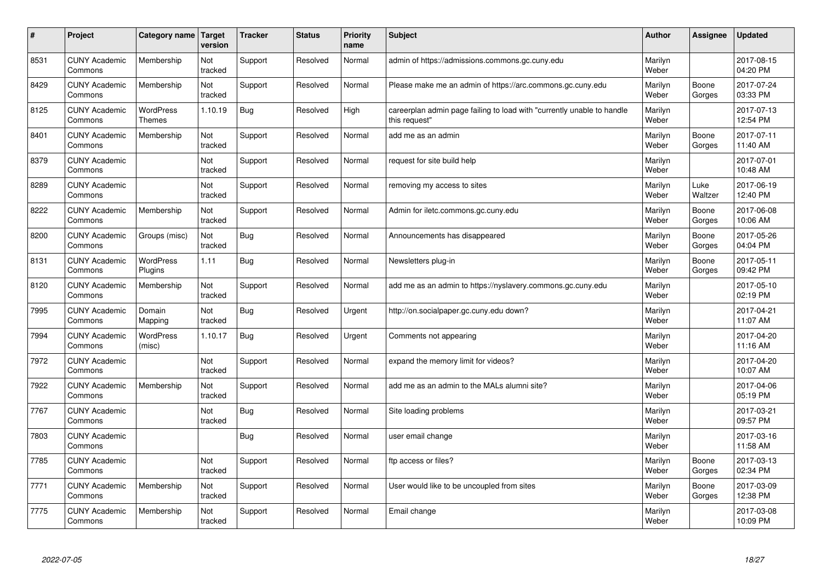| #    | Project                         | Category name   Target            | version        | <b>Tracker</b> | <b>Status</b> | <b>Priority</b><br>name | <b>Subject</b>                                                                          | <b>Author</b>    | Assignee        | <b>Updated</b>         |
|------|---------------------------------|-----------------------------------|----------------|----------------|---------------|-------------------------|-----------------------------------------------------------------------------------------|------------------|-----------------|------------------------|
| 8531 | <b>CUNY Academic</b><br>Commons | Membership                        | Not<br>tracked | Support        | Resolved      | Normal                  | admin of https://admissions.commons.gc.cuny.edu                                         | Marilyn<br>Weber |                 | 2017-08-15<br>04:20 PM |
| 8429 | <b>CUNY Academic</b><br>Commons | Membership                        | Not<br>tracked | Support        | Resolved      | Normal                  | Please make me an admin of https://arc.commons.gc.cuny.edu                              | Marilyn<br>Weber | Boone<br>Gorges | 2017-07-24<br>03:33 PM |
| 8125 | <b>CUNY Academic</b><br>Commons | <b>WordPress</b><br><b>Themes</b> | 1.10.19        | Bug            | Resolved      | High                    | careerplan admin page failing to load with "currently unable to handle<br>this request" | Marilyn<br>Weber |                 | 2017-07-13<br>12:54 PM |
| 8401 | <b>CUNY Academic</b><br>Commons | Membership                        | Not<br>tracked | Support        | Resolved      | Normal                  | add me as an admin                                                                      | Marilyn<br>Weber | Boone<br>Gorges | 2017-07-11<br>11:40 AM |
| 8379 | <b>CUNY Academic</b><br>Commons |                                   | Not<br>tracked | Support        | Resolved      | Normal                  | request for site build help                                                             | Marilyn<br>Weber |                 | 2017-07-01<br>10:48 AM |
| 8289 | <b>CUNY Academic</b><br>Commons |                                   | Not<br>tracked | Support        | Resolved      | Normal                  | removing my access to sites                                                             | Marilyn<br>Weber | Luke<br>Waltzer | 2017-06-19<br>12:40 PM |
| 8222 | <b>CUNY Academic</b><br>Commons | Membership                        | Not<br>tracked | Support        | Resolved      | Normal                  | Admin for iletc.commons.gc.cuny.edu                                                     | Marilyn<br>Weber | Boone<br>Gorges | 2017-06-08<br>10:06 AM |
| 8200 | <b>CUNY Academic</b><br>Commons | Groups (misc)                     | Not<br>tracked | Bug            | Resolved      | Normal                  | Announcements has disappeared                                                           | Marilyn<br>Weber | Boone<br>Gorges | 2017-05-26<br>04:04 PM |
| 8131 | <b>CUNY Academic</b><br>Commons | <b>WordPress</b><br>Plugins       | 1.11           | Bug            | Resolved      | Normal                  | Newsletters plug-in                                                                     | Marilyn<br>Weber | Boone<br>Gorges | 2017-05-11<br>09:42 PM |
| 8120 | <b>CUNY Academic</b><br>Commons | Membership                        | Not<br>tracked | Support        | Resolved      | Normal                  | add me as an admin to https://nyslavery.commons.gc.cuny.edu                             | Marilyn<br>Weber |                 | 2017-05-10<br>02:19 PM |
| 7995 | <b>CUNY Academic</b><br>Commons | Domain<br>Mapping                 | Not<br>tracked | Bug            | Resolved      | Urgent                  | http://on.socialpaper.gc.cuny.edu down?                                                 | Marilyn<br>Weber |                 | 2017-04-21<br>11:07 AM |
| 7994 | <b>CUNY Academic</b><br>Commons | <b>WordPress</b><br>(misc)        | 1.10.17        | Bug            | Resolved      | Urgent                  | Comments not appearing                                                                  | Marilyn<br>Weber |                 | 2017-04-20<br>11:16 AM |
| 7972 | <b>CUNY Academic</b><br>Commons |                                   | Not<br>tracked | Support        | Resolved      | Normal                  | expand the memory limit for videos?                                                     | Marilyn<br>Weber |                 | 2017-04-20<br>10:07 AM |
| 7922 | <b>CUNY Academic</b><br>Commons | Membership                        | Not<br>tracked | Support        | Resolved      | Normal                  | add me as an admin to the MALs alumni site?                                             | Marilyn<br>Weber |                 | 2017-04-06<br>05:19 PM |
| 7767 | <b>CUNY Academic</b><br>Commons |                                   | Not<br>tracked | Bug            | Resolved      | Normal                  | Site loading problems                                                                   | Marilyn<br>Weber |                 | 2017-03-21<br>09:57 PM |
| 7803 | <b>CUNY Academic</b><br>Commons |                                   |                | Bug            | Resolved      | Normal                  | user email change                                                                       | Marilyn<br>Weber |                 | 2017-03-16<br>11:58 AM |
| 7785 | <b>CUNY Academic</b><br>Commons |                                   | Not<br>tracked | Support        | Resolved      | Normal                  | ftp access or files?                                                                    | Marilyn<br>Weber | Boone<br>Gorges | 2017-03-13<br>02:34 PM |
| 7771 | <b>CUNY Academic</b><br>Commons | Membership                        | Not<br>tracked | Support        | Resolved      | Normal                  | User would like to be uncoupled from sites                                              | Marilyn<br>Weber | Boone<br>Gorges | 2017-03-09<br>12:38 PM |
| 7775 | <b>CUNY Academic</b><br>Commons | Membership                        | Not<br>tracked | Support        | Resolved      | Normal                  | Email change                                                                            | Marilyn<br>Weber |                 | 2017-03-08<br>10:09 PM |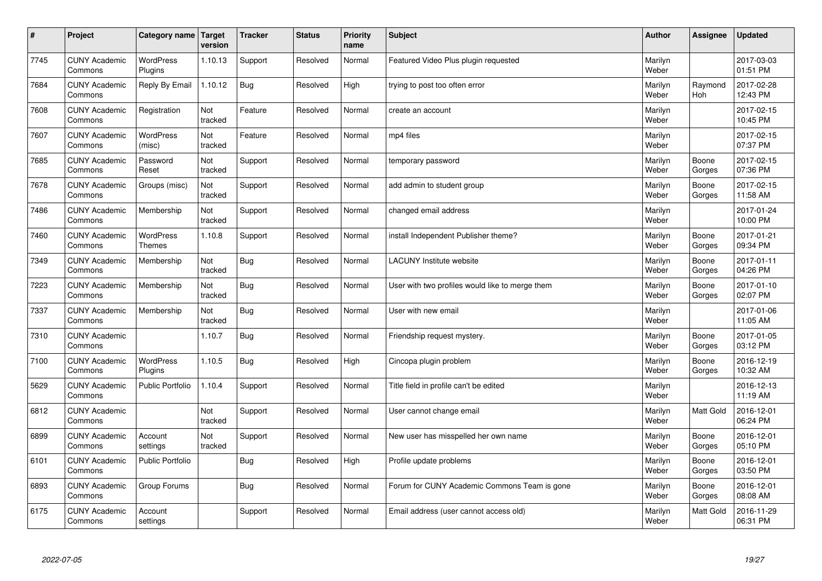| $\sharp$ | Project                         | Category name   Target      | version        | <b>Tracker</b> | <b>Status</b> | <b>Priority</b><br>name | <b>Subject</b>                                  | <b>Author</b>    | Assignee         | <b>Updated</b>         |
|----------|---------------------------------|-----------------------------|----------------|----------------|---------------|-------------------------|-------------------------------------------------|------------------|------------------|------------------------|
| 7745     | <b>CUNY Academic</b><br>Commons | <b>WordPress</b><br>Plugins | 1.10.13        | Support        | Resolved      | Normal                  | Featured Video Plus plugin requested            | Marilyn<br>Weber |                  | 2017-03-03<br>01:51 PM |
| 7684     | <b>CUNY Academic</b><br>Commons | Reply By Email              | 1.10.12        | Bug            | Resolved      | High                    | trying to post too often error                  | Marilyn<br>Weber | Raymond<br>Hoh   | 2017-02-28<br>12:43 PM |
| 7608     | <b>CUNY Academic</b><br>Commons | Registration                | Not<br>tracked | Feature        | Resolved      | Normal                  | create an account                               | Marilyn<br>Weber |                  | 2017-02-15<br>10:45 PM |
| 7607     | <b>CUNY Academic</b><br>Commons | <b>WordPress</b><br>(misc)  | Not<br>tracked | Feature        | Resolved      | Normal                  | mp4 files                                       | Marilyn<br>Weber |                  | 2017-02-15<br>07:37 PM |
| 7685     | <b>CUNY Academic</b><br>Commons | Password<br>Reset           | Not<br>tracked | Support        | Resolved      | Normal                  | temporary password                              | Marilyn<br>Weber | Boone<br>Gorges  | 2017-02-15<br>07:36 PM |
| 7678     | <b>CUNY Academic</b><br>Commons | Groups (misc)               | Not<br>tracked | Support        | Resolved      | Normal                  | add admin to student group                      | Marilyn<br>Weber | Boone<br>Gorges  | 2017-02-15<br>11:58 AM |
| 7486     | <b>CUNY Academic</b><br>Commons | Membership                  | Not<br>tracked | Support        | Resolved      | Normal                  | changed email address                           | Marilyn<br>Weber |                  | 2017-01-24<br>10:00 PM |
| 7460     | <b>CUNY Academic</b><br>Commons | WordPress<br><b>Themes</b>  | 1.10.8         | Support        | Resolved      | Normal                  | install Independent Publisher theme?            | Marilyn<br>Weber | Boone<br>Gorges  | 2017-01-21<br>09:34 PM |
| 7349     | <b>CUNY Academic</b><br>Commons | Membership                  | Not<br>tracked | Bug            | Resolved      | Normal                  | <b>LACUNY</b> Institute website                 | Marilyn<br>Weber | Boone<br>Gorges  | 2017-01-11<br>04:26 PM |
| 7223     | <b>CUNY Academic</b><br>Commons | Membership                  | Not<br>tracked | Bug            | Resolved      | Normal                  | User with two profiles would like to merge them | Marilyn<br>Weber | Boone<br>Gorges  | 2017-01-10<br>02:07 PM |
| 7337     | <b>CUNY Academic</b><br>Commons | Membership                  | Not<br>tracked | Bug            | Resolved      | Normal                  | User with new email                             | Marilyn<br>Weber |                  | 2017-01-06<br>11:05 AM |
| 7310     | <b>CUNY Academic</b><br>Commons |                             | 1.10.7         | Bug            | Resolved      | Normal                  | Friendship request mystery.                     | Marilyn<br>Weber | Boone<br>Gorges  | 2017-01-05<br>03:12 PM |
| 7100     | <b>CUNY Academic</b><br>Commons | <b>WordPress</b><br>Plugins | 1.10.5         | Bug            | Resolved      | High                    | Cincopa plugin problem                          | Marilyn<br>Weber | Boone<br>Gorges  | 2016-12-19<br>10:32 AM |
| 5629     | <b>CUNY Academic</b><br>Commons | <b>Public Portfolio</b>     | 1.10.4         | Support        | Resolved      | Normal                  | Title field in profile can't be edited          | Marilyn<br>Weber |                  | 2016-12-13<br>11:19 AM |
| 6812     | <b>CUNY Academic</b><br>Commons |                             | Not<br>tracked | Support        | Resolved      | Normal                  | User cannot change email                        | Marilyn<br>Weber | Matt Gold        | 2016-12-01<br>06:24 PM |
| 6899     | <b>CUNY Academic</b><br>Commons | Account<br>settings         | Not<br>tracked | Support        | Resolved      | Normal                  | New user has misspelled her own name            | Marilyn<br>Weber | Boone<br>Gorges  | 2016-12-01<br>05:10 PM |
| 6101     | <b>CUNY Academic</b><br>Commons | <b>Public Portfolio</b>     |                | Bug            | Resolved      | High                    | Profile update problems                         | Marilyn<br>Weber | Boone<br>Gorges  | 2016-12-01<br>03:50 PM |
| 6893     | <b>CUNY Academic</b><br>Commons | Group Forums                |                | Bug            | Resolved      | Normal                  | Forum for CUNY Academic Commons Team is gone    | Marilyn<br>Weber | Boone<br>Gorges  | 2016-12-01<br>08:08 AM |
| 6175     | <b>CUNY Academic</b><br>Commons | Account<br>settings         |                | Support        | Resolved      | Normal                  | Email address (user cannot access old)          | Marilyn<br>Weber | <b>Matt Gold</b> | 2016-11-29<br>06:31 PM |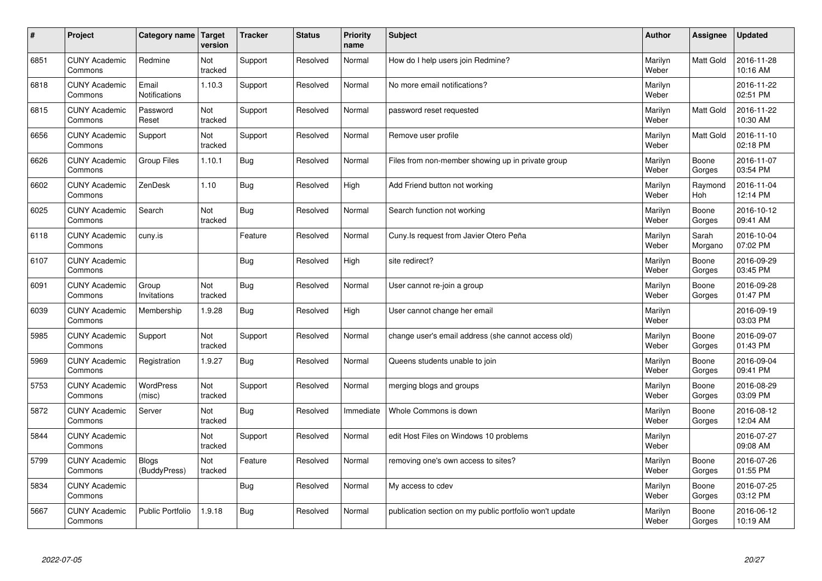| $\vert$ # | Project                         | Category name   Target        | version        | <b>Tracker</b> | <b>Status</b> | <b>Priority</b><br>name | <b>Subject</b>                                          | <b>Author</b>    | Assignee              | <b>Updated</b>         |
|-----------|---------------------------------|-------------------------------|----------------|----------------|---------------|-------------------------|---------------------------------------------------------|------------------|-----------------------|------------------------|
| 6851      | <b>CUNY Academic</b><br>Commons | Redmine                       | Not<br>tracked | Support        | Resolved      | Normal                  | How do I help users join Redmine?                       | Marilyn<br>Weber | <b>Matt Gold</b>      | 2016-11-28<br>10:16 AM |
| 6818      | <b>CUNY Academic</b><br>Commons | Email<br><b>Notifications</b> | 1.10.3         | Support        | Resolved      | Normal                  | No more email notifications?                            | Marilyn<br>Weber |                       | 2016-11-22<br>02:51 PM |
| 6815      | <b>CUNY Academic</b><br>Commons | Password<br>Reset             | Not<br>tracked | Support        | Resolved      | Normal                  | password reset requested                                | Marilyn<br>Weber | <b>Matt Gold</b>      | 2016-11-22<br>10:30 AM |
| 6656      | <b>CUNY Academic</b><br>Commons | Support                       | Not<br>tracked | Support        | Resolved      | Normal                  | Remove user profile                                     | Marilyn<br>Weber | Matt Gold             | 2016-11-10<br>02:18 PM |
| 6626      | <b>CUNY Academic</b><br>Commons | <b>Group Files</b>            | 1.10.1         | Bug            | Resolved      | Normal                  | Files from non-member showing up in private group       | Marilyn<br>Weber | Boone<br>Gorges       | 2016-11-07<br>03:54 PM |
| 6602      | <b>CUNY Academic</b><br>Commons | ZenDesk                       | 1.10           | <b>Bug</b>     | Resolved      | High                    | Add Friend button not working                           | Marilyn<br>Weber | Raymond<br><b>Hoh</b> | 2016-11-04<br>12:14 PM |
| 6025      | <b>CUNY Academic</b><br>Commons | Search                        | Not<br>tracked | <b>Bug</b>     | Resolved      | Normal                  | Search function not working                             | Marilyn<br>Weber | Boone<br>Gorges       | 2016-10-12<br>09:41 AM |
| 6118      | <b>CUNY Academic</b><br>Commons | cuny.is                       |                | Feature        | Resolved      | Normal                  | Cuny. Is request from Javier Otero Peña                 | Marilyn<br>Weber | Sarah<br>Morgano      | 2016-10-04<br>07:02 PM |
| 6107      | <b>CUNY Academic</b><br>Commons |                               |                | Bug            | Resolved      | High                    | site redirect?                                          | Marilyn<br>Weber | Boone<br>Gorges       | 2016-09-29<br>03:45 PM |
| 6091      | <b>CUNY Academic</b><br>Commons | Group<br>Invitations          | Not<br>tracked | <b>Bug</b>     | Resolved      | Normal                  | User cannot re-join a group                             | Marilyn<br>Weber | Boone<br>Gorges       | 2016-09-28<br>01:47 PM |
| 6039      | <b>CUNY Academic</b><br>Commons | Membership                    | 1.9.28         | Bug            | Resolved      | High                    | User cannot change her email                            | Marilyn<br>Weber |                       | 2016-09-19<br>03:03 PM |
| 5985      | <b>CUNY Academic</b><br>Commons | Support                       | Not<br>tracked | Support        | Resolved      | Normal                  | change user's email address (she cannot access old)     | Marilyn<br>Weber | Boone<br>Gorges       | 2016-09-07<br>01:43 PM |
| 5969      | <b>CUNY Academic</b><br>Commons | Registration                  | 1.9.27         | Bug            | Resolved      | Normal                  | Queens students unable to join                          | Marilyn<br>Weber | Boone<br>Gorges       | 2016-09-04<br>09:41 PM |
| 5753      | <b>CUNY Academic</b><br>Commons | WordPress<br>(misc)           | Not<br>tracked | Support        | Resolved      | Normal                  | merging blogs and groups                                | Marilyn<br>Weber | Boone<br>Gorges       | 2016-08-29<br>03:09 PM |
| 5872      | <b>CUNY Academic</b><br>Commons | Server                        | Not<br>tracked | <b>Bug</b>     | Resolved      | Immediate               | Whole Commons is down                                   | Marilyn<br>Weber | Boone<br>Gorges       | 2016-08-12<br>12:04 AM |
| 5844      | <b>CUNY Academic</b><br>Commons |                               | Not<br>tracked | Support        | Resolved      | Normal                  | edit Host Files on Windows 10 problems                  | Marilyn<br>Weber |                       | 2016-07-27<br>09:08 AM |
| 5799      | <b>CUNY Academic</b><br>Commons | <b>Blogs</b><br>(BuddyPress)  | Not<br>tracked | Feature        | Resolved      | Normal                  | removing one's own access to sites?                     | Marilyn<br>Weber | Boone<br>Gorges       | 2016-07-26<br>01:55 PM |
| 5834      | <b>CUNY Academic</b><br>Commons |                               |                | Bug            | Resolved      | Normal                  | My access to cdev                                       | Marilyn<br>Weber | Boone<br>Gorges       | 2016-07-25<br>03:12 PM |
| 5667      | <b>CUNY Academic</b><br>Commons | <b>Public Portfolio</b>       | .9.18          | Bug            | Resolved      | Normal                  | publication section on my public portfolio won't update | Marilyn<br>Weber | Boone<br>Gorges       | 2016-06-12<br>10:19 AM |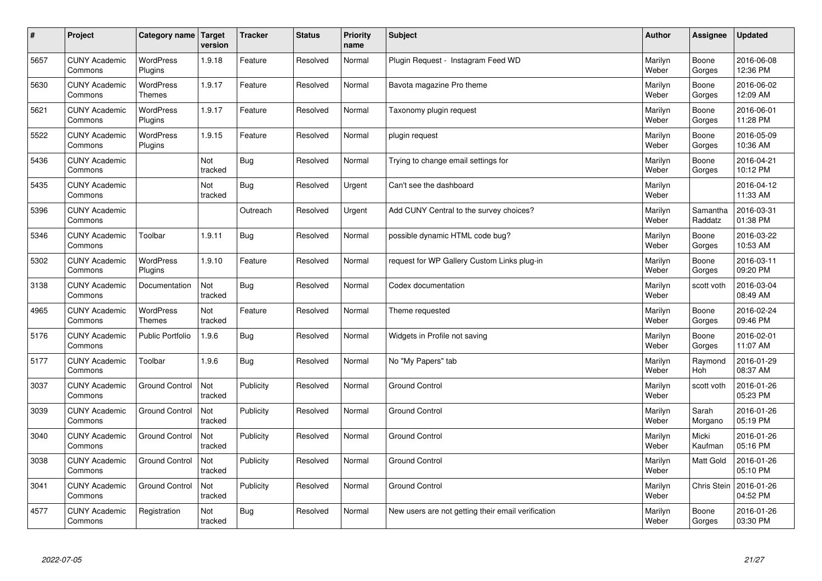| $\sharp$ | Project                         | Category name   Target            | version        | <b>Tracker</b> | <b>Status</b> | Priority<br>name | <b>Subject</b>                                     | <b>Author</b>    | <b>Assignee</b>     | <b>Updated</b>         |
|----------|---------------------------------|-----------------------------------|----------------|----------------|---------------|------------------|----------------------------------------------------|------------------|---------------------|------------------------|
| 5657     | <b>CUNY Academic</b><br>Commons | <b>WordPress</b><br>Plugins       | 1.9.18         | Feature        | Resolved      | Normal           | Plugin Request - Instagram Feed WD                 | Marilyn<br>Weber | Boone<br>Gorges     | 2016-06-08<br>12:36 PM |
| 5630     | <b>CUNY Academic</b><br>Commons | <b>WordPress</b><br><b>Themes</b> | 1.9.17         | Feature        | Resolved      | Normal           | Bavota magazine Pro theme                          | Marilyn<br>Weber | Boone<br>Gorges     | 2016-06-02<br>12:09 AM |
| 5621     | <b>CUNY Academic</b><br>Commons | WordPress<br>Plugins              | 1.9.17         | Feature        | Resolved      | Normal           | Taxonomy plugin request                            | Marilyn<br>Weber | Boone<br>Gorges     | 2016-06-01<br>11:28 PM |
| 5522     | <b>CUNY Academic</b><br>Commons | <b>WordPress</b><br>Plugins       | 1.9.15         | Feature        | Resolved      | Normal           | plugin request                                     | Marilyn<br>Weber | Boone<br>Gorges     | 2016-05-09<br>10:36 AM |
| 5436     | <b>CUNY Academic</b><br>Commons |                                   | Not<br>tracked | Bug            | Resolved      | Normal           | Trying to change email settings for                | Marilyn<br>Weber | Boone<br>Gorges     | 2016-04-21<br>10:12 PM |
| 5435     | <b>CUNY Academic</b><br>Commons |                                   | Not<br>tracked | Bug            | Resolved      | Urgent           | Can't see the dashboard                            | Marilyn<br>Weber |                     | 2016-04-12<br>11:33 AM |
| 5396     | <b>CUNY Academic</b><br>Commons |                                   |                | Outreach       | Resolved      | Urgent           | Add CUNY Central to the survey choices?            | Marilyn<br>Weber | Samantha<br>Raddatz | 2016-03-31<br>01:38 PM |
| 5346     | <b>CUNY Academic</b><br>Commons | Toolbar                           | 1.9.11         | Bug            | Resolved      | Normal           | possible dynamic HTML code bug?                    | Marilyn<br>Weber | Boone<br>Gorges     | 2016-03-22<br>10:53 AM |
| 5302     | <b>CUNY Academic</b><br>Commons | <b>WordPress</b><br>Plugins       | 1.9.10         | Feature        | Resolved      | Normal           | request for WP Gallery Custom Links plug-in        | Marilyn<br>Weber | Boone<br>Gorges     | 2016-03-11<br>09:20 PM |
| 3138     | <b>CUNY Academic</b><br>Commons | Documentation                     | Not<br>tracked | Bug            | Resolved      | Normal           | Codex documentation                                | Marilyn<br>Weber | scott voth          | 2016-03-04<br>08:49 AM |
| 4965     | <b>CUNY Academic</b><br>Commons | <b>WordPress</b><br><b>Themes</b> | Not<br>tracked | Feature        | Resolved      | Normal           | Theme requested                                    | Marilyn<br>Weber | Boone<br>Gorges     | 2016-02-24<br>09:46 PM |
| 5176     | <b>CUNY Academic</b><br>Commons | <b>Public Portfolio</b>           | 1.9.6          | <b>Bug</b>     | Resolved      | Normal           | Widgets in Profile not saving                      | Marilyn<br>Weber | Boone<br>Gorges     | 2016-02-01<br>11:07 AM |
| 5177     | <b>CUNY Academic</b><br>Commons | Toolbar                           | 1.9.6          | Bug            | Resolved      | Normal           | No "My Papers" tab                                 | Marilyn<br>Weber | Raymond<br>Hoh      | 2016-01-29<br>08:37 AM |
| 3037     | <b>CUNY Academic</b><br>Commons | <b>Ground Control</b>             | Not<br>tracked | Publicity      | Resolved      | Normal           | <b>Ground Control</b>                              | Marilyn<br>Weber | scott voth          | 2016-01-26<br>05:23 PM |
| 3039     | <b>CUNY Academic</b><br>Commons | <b>Ground Control</b>             | Not<br>tracked | Publicity      | Resolved      | Normal           | <b>Ground Control</b>                              | Marilyn<br>Weber | Sarah<br>Morgano    | 2016-01-26<br>05:19 PM |
| 3040     | <b>CUNY Academic</b><br>Commons | <b>Ground Control</b>             | Not<br>tracked | Publicity      | Resolved      | Normal           | <b>Ground Control</b>                              | Marilyn<br>Weber | Micki<br>Kaufman    | 2016-01-26<br>05:16 PM |
| 3038     | <b>CUNY Academic</b><br>Commons | <b>Ground Control</b>             | Not<br>tracked | Publicity      | Resolved      | Normal           | <b>Ground Control</b>                              | Marilyn<br>Weber | <b>Matt Gold</b>    | 2016-01-26<br>05:10 PM |
| 3041     | <b>CUNY Academic</b><br>Commons | <b>Ground Control</b>             | Not<br>tracked | Publicity      | Resolved      | Normal           | <b>Ground Control</b>                              | Marilyn<br>Weber | Chris Stein         | 2016-01-26<br>04:52 PM |
| 4577     | <b>CUNY Academic</b><br>Commons | Registration                      | Not<br>tracked | <b>Bug</b>     | Resolved      | Normal           | New users are not getting their email verification | Marilyn<br>Weber | Boone<br>Gorges     | 2016-01-26<br>03:30 PM |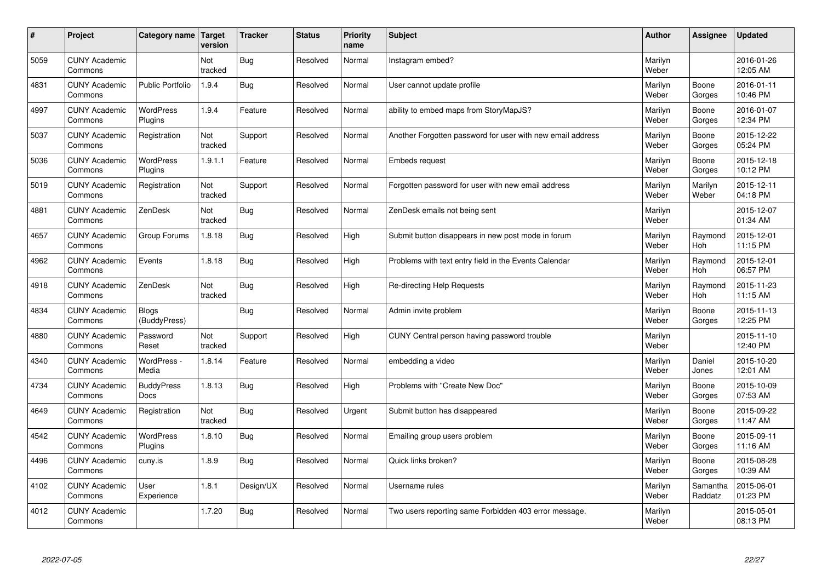| #    | Project                         | Category name   Target           | version        | <b>Tracker</b> | <b>Status</b> | <b>Priority</b><br>name | <b>Subject</b>                                             | <b>Author</b>    | Assignee              | <b>Updated</b>         |
|------|---------------------------------|----------------------------------|----------------|----------------|---------------|-------------------------|------------------------------------------------------------|------------------|-----------------------|------------------------|
| 5059 | <b>CUNY Academic</b><br>Commons |                                  | Not<br>tracked | Bug            | Resolved      | Normal                  | Instagram embed?                                           | Marilyn<br>Weber |                       | 2016-01-26<br>12:05 AM |
| 4831 | <b>CUNY Academic</b><br>Commons | <b>Public Portfolio</b>          | 1.9.4          | Bug            | Resolved      | Normal                  | User cannot update profile                                 | Marilyn<br>Weber | Boone<br>Gorges       | 2016-01-11<br>10:46 PM |
| 4997 | <b>CUNY Academic</b><br>Commons | <b>WordPress</b><br>Plugins      | 1.9.4          | Feature        | Resolved      | Normal                  | ability to embed maps from StoryMapJS?                     | Marilyn<br>Weber | Boone<br>Gorges       | 2016-01-07<br>12:34 PM |
| 5037 | <b>CUNY Academic</b><br>Commons | Registration                     | Not<br>tracked | Support        | Resolved      | Normal                  | Another Forgotten password for user with new email address | Marilyn<br>Weber | Boone<br>Gorges       | 2015-12-22<br>05:24 PM |
| 5036 | <b>CUNY Academic</b><br>Commons | <b>WordPress</b><br>Plugins      | 1.9.1.1        | Feature        | Resolved      | Normal                  | Embeds request                                             | Marilyn<br>Weber | Boone<br>Gorges       | 2015-12-18<br>10:12 PM |
| 5019 | <b>CUNY Academic</b><br>Commons | Registration                     | Not<br>tracked | Support        | Resolved      | Normal                  | Forgotten password for user with new email address         | Marilyn<br>Weber | Marilyn<br>Weber      | 2015-12-11<br>04:18 PM |
| 4881 | <b>CUNY Academic</b><br>Commons | ZenDesk                          | Not<br>tracked | Bug            | Resolved      | Normal                  | ZenDesk emails not being sent                              | Marilyn<br>Weber |                       | 2015-12-07<br>01:34 AM |
| 4657 | <b>CUNY Academic</b><br>Commons | Group Forums                     | 1.8.18         | Bug            | Resolved      | High                    | Submit button disappears in new post mode in forum         | Marilyn<br>Weber | Raymond<br>Hoh        | 2015-12-01<br>11:15 PM |
| 4962 | <b>CUNY Academic</b><br>Commons | Events                           | 1.8.18         | Bug            | Resolved      | High                    | Problems with text entry field in the Events Calendar      | Marilyn<br>Weber | Raymond<br>Hoh        | 2015-12-01<br>06:57 PM |
| 4918 | <b>CUNY Academic</b><br>Commons | ZenDesk                          | Not<br>tracked | <b>Bug</b>     | Resolved      | High                    | Re-directing Help Requests                                 | Marilyn<br>Weber | Raymond<br><b>Hoh</b> | 2015-11-23<br>11:15 AM |
| 4834 | <b>CUNY Academic</b><br>Commons | <b>Blogs</b><br>(BuddyPress)     |                | Bug            | Resolved      | Normal                  | Admin invite problem                                       | Marilyn<br>Weber | Boone<br>Gorges       | 2015-11-13<br>12:25 PM |
| 4880 | <b>CUNY Academic</b><br>Commons | Password<br>Reset                | Not<br>tracked | Support        | Resolved      | High                    | CUNY Central person having password trouble                | Marilyn<br>Weber |                       | 2015-11-10<br>12:40 PM |
| 4340 | <b>CUNY Academic</b><br>Commons | WordPress -<br>Media             | 1.8.14         | Feature        | Resolved      | Normal                  | embedding a video                                          | Marilyn<br>Weber | Daniel<br>Jones       | 2015-10-20<br>12:01 AM |
| 4734 | <b>CUNY Academic</b><br>Commons | <b>BuddyPress</b><br><b>Docs</b> | 1.8.13         | Bug            | Resolved      | High                    | Problems with "Create New Doc"                             | Marilyn<br>Weber | Boone<br>Gorges       | 2015-10-09<br>07:53 AM |
| 4649 | <b>CUNY Academic</b><br>Commons | Registration                     | Not<br>tracked | Bug            | Resolved      | Urgent                  | Submit button has disappeared                              | Marilyn<br>Weber | Boone<br>Gorges       | 2015-09-22<br>11:47 AM |
| 4542 | <b>CUNY Academic</b><br>Commons | WordPress<br>Plugins             | 1.8.10         | Bug            | Resolved      | Normal                  | Emailing group users problem                               | Marilyn<br>Weber | Boone<br>Gorges       | 2015-09-11<br>11:16 AM |
| 4496 | <b>CUNY Academic</b><br>Commons | cuny.is                          | 1.8.9          | Bug            | Resolved      | Normal                  | Quick links broken?                                        | Marilyn<br>Weber | Boone<br>Gorges       | 2015-08-28<br>10:39 AM |
| 4102 | <b>CUNY Academic</b><br>Commons | User<br>Experience               | 1.8.1          | Design/UX      | Resolved      | Normal                  | Username rules                                             | Marilyn<br>Weber | Samantha<br>Raddatz   | 2015-06-01<br>01:23 PM |
| 4012 | <b>CUNY Academic</b><br>Commons |                                  | 1.7.20         | Bug            | Resolved      | Normal                  | Two users reporting same Forbidden 403 error message.      | Marilyn<br>Weber |                       | 2015-05-01<br>08:13 PM |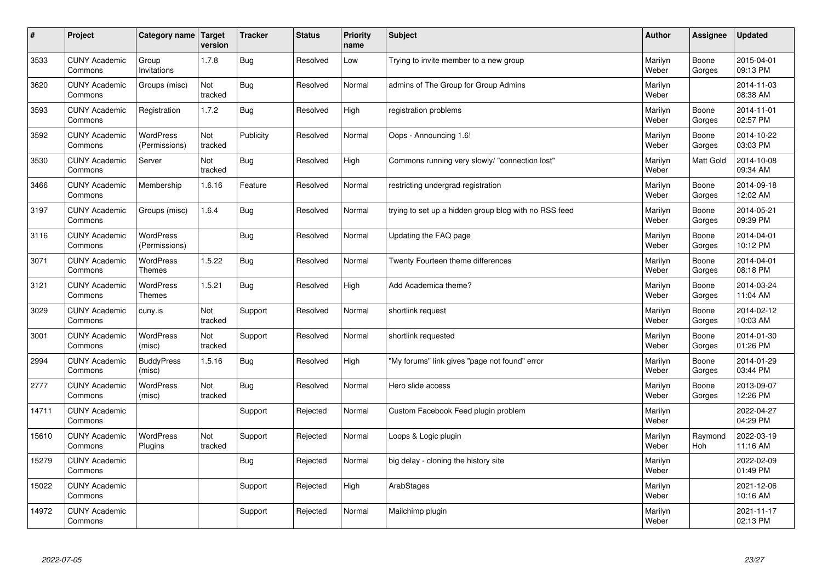| $\sharp$ | Project                         | Category name   Target            | version        | <b>Tracker</b> | <b>Status</b> | Priority<br>name | <b>Subject</b>                                        | <b>Author</b>    | <b>Assignee</b>  | <b>Updated</b>         |
|----------|---------------------------------|-----------------------------------|----------------|----------------|---------------|------------------|-------------------------------------------------------|------------------|------------------|------------------------|
| 3533     | <b>CUNY Academic</b><br>Commons | Group<br>Invitations              | 1.7.8          | Bug            | Resolved      | Low              | Trying to invite member to a new group                | Marilyn<br>Weber | Boone<br>Gorges  | 2015-04-01<br>09:13 PM |
| 3620     | <b>CUNY Academic</b><br>Commons | Groups (misc)                     | Not<br>tracked | Bug            | Resolved      | Normal           | admins of The Group for Group Admins                  | Marilyn<br>Weber |                  | 2014-11-03<br>08:38 AM |
| 3593     | <b>CUNY Academic</b><br>Commons | Registration                      | 1.7.2          | Bug            | Resolved      | High             | registration problems                                 | Marilyn<br>Weber | Boone<br>Gorges  | 2014-11-01<br>02:57 PM |
| 3592     | <b>CUNY Academic</b><br>Commons | WordPress<br>(Permissions)        | Not<br>tracked | Publicity      | Resolved      | Normal           | Oops - Announcing 1.6!                                | Marilyn<br>Weber | Boone<br>Gorges  | 2014-10-22<br>03:03 PM |
| 3530     | <b>CUNY Academic</b><br>Commons | Server                            | Not<br>tracked | Bug            | Resolved      | High             | Commons running very slowly/ "connection lost"        | Marilyn<br>Weber | <b>Matt Gold</b> | 2014-10-08<br>09:34 AM |
| 3466     | <b>CUNY Academic</b><br>Commons | Membership                        | 1.6.16         | Feature        | Resolved      | Normal           | restricting undergrad registration                    | Marilyn<br>Weber | Boone<br>Gorges  | 2014-09-18<br>12:02 AM |
| 3197     | <b>CUNY Academic</b><br>Commons | Groups (misc)                     | 1.6.4          | Bug            | Resolved      | Normal           | trying to set up a hidden group blog with no RSS feed | Marilyn<br>Weber | Boone<br>Gorges  | 2014-05-21<br>09:39 PM |
| 3116     | <b>CUNY Academic</b><br>Commons | WordPress<br>(Permissions)        |                | Bug            | Resolved      | Normal           | Updating the FAQ page                                 | Marilyn<br>Weber | Boone<br>Gorges  | 2014-04-01<br>10:12 PM |
| 3071     | <b>CUNY Academic</b><br>Commons | <b>WordPress</b><br><b>Themes</b> | 1.5.22         | Bug            | Resolved      | Normal           | Twenty Fourteen theme differences                     | Marilyn<br>Weber | Boone<br>Gorges  | 2014-04-01<br>08:18 PM |
| 3121     | <b>CUNY Academic</b><br>Commons | <b>WordPress</b><br><b>Themes</b> | 1.5.21         | <b>Bug</b>     | Resolved      | High             | Add Academica theme?                                  | Marilyn<br>Weber | Boone<br>Gorges  | 2014-03-24<br>11:04 AM |
| 3029     | <b>CUNY Academic</b><br>Commons | cuny.is                           | Not<br>tracked | Support        | Resolved      | Normal           | shortlink request                                     | Marilyn<br>Weber | Boone<br>Gorges  | 2014-02-12<br>10:03 AM |
| 3001     | <b>CUNY Academic</b><br>Commons | WordPress<br>(misc)               | Not<br>tracked | Support        | Resolved      | Normal           | shortlink requested                                   | Marilyn<br>Weber | Boone<br>Gorges  | 2014-01-30<br>01:26 PM |
| 2994     | <b>CUNY Academic</b><br>Commons | <b>BuddyPress</b><br>(misc)       | 1.5.16         | Bug            | Resolved      | High             | "My forums" link gives "page not found" error         | Marilyn<br>Weber | Boone<br>Gorges  | 2014-01-29<br>03:44 PM |
| 2777     | <b>CUNY Academic</b><br>Commons | WordPress<br>(misc)               | Not<br>tracked | Bug            | Resolved      | Normal           | Hero slide access                                     | Marilyn<br>Weber | Boone<br>Gorges  | 2013-09-07<br>12:26 PM |
| 14711    | <b>CUNY Academic</b><br>Commons |                                   |                | Support        | Rejected      | Normal           | Custom Facebook Feed plugin problem                   | Marilyn<br>Weber |                  | 2022-04-27<br>04:29 PM |
| 15610    | <b>CUNY Academic</b><br>Commons | <b>WordPress</b><br>Plugins       | Not<br>tracked | Support        | Rejected      | Normal           | Loops & Logic plugin                                  | Marilyn<br>Weber | Raymond<br>Hoh   | 2022-03-19<br>11:16 AM |
| 15279    | <b>CUNY Academic</b><br>Commons |                                   |                | Bug            | Rejected      | Normal           | big delay - cloning the history site                  | Marilyn<br>Weber |                  | 2022-02-09<br>01:49 PM |
| 15022    | <b>CUNY Academic</b><br>Commons |                                   |                | Support        | Rejected      | High             | ArabStages                                            | Marilyn<br>Weber |                  | 2021-12-06<br>10:16 AM |
| 14972    | <b>CUNY Academic</b><br>Commons |                                   |                | Support        | Rejected      | Normal           | Mailchimp plugin                                      | Marilyn<br>Weber |                  | 2021-11-17<br>02:13 PM |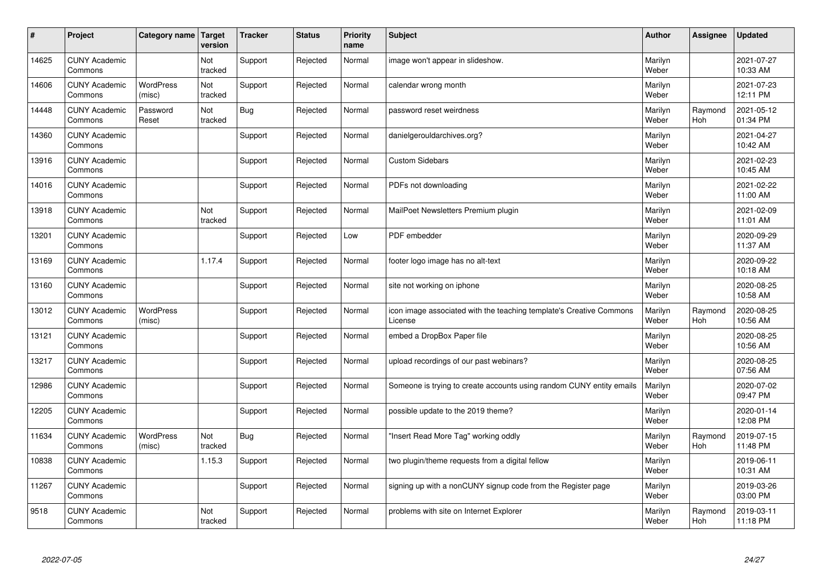| $\sharp$ | Project                         | Category name   Target     | version        | <b>Tracker</b> | <b>Status</b> | <b>Priority</b><br>name | <b>Subject</b>                                                                 | <b>Author</b>    | <b>Assignee</b>       | <b>Updated</b>         |
|----------|---------------------------------|----------------------------|----------------|----------------|---------------|-------------------------|--------------------------------------------------------------------------------|------------------|-----------------------|------------------------|
| 14625    | <b>CUNY Academic</b><br>Commons |                            | Not<br>tracked | Support        | Rejected      | Normal                  | image won't appear in slideshow.                                               | Marilyn<br>Weber |                       | 2021-07-27<br>10:33 AM |
| 14606    | <b>CUNY Academic</b><br>Commons | <b>WordPress</b><br>(misc) | Not<br>tracked | Support        | Rejected      | Normal                  | calendar wrong month                                                           | Marilyn<br>Weber |                       | 2021-07-23<br>12:11 PM |
| 14448    | <b>CUNY Academic</b><br>Commons | Password<br>Reset          | Not<br>tracked | Bug            | Rejected      | Normal                  | password reset weirdness                                                       | Marilyn<br>Weber | Raymond<br><b>Hoh</b> | 2021-05-12<br>01:34 PM |
| 14360    | <b>CUNY Academic</b><br>Commons |                            |                | Support        | Rejected      | Normal                  | danielgerouldarchives.org?                                                     | Marilyn<br>Weber |                       | 2021-04-27<br>10:42 AM |
| 13916    | <b>CUNY Academic</b><br>Commons |                            |                | Support        | Rejected      | Normal                  | <b>Custom Sidebars</b>                                                         | Marilyn<br>Weber |                       | 2021-02-23<br>10:45 AM |
| 14016    | <b>CUNY Academic</b><br>Commons |                            |                | Support        | Rejected      | Normal                  | PDFs not downloading                                                           | Marilyn<br>Weber |                       | 2021-02-22<br>11:00 AM |
| 13918    | <b>CUNY Academic</b><br>Commons |                            | Not<br>tracked | Support        | Rejected      | Normal                  | MailPoet Newsletters Premium plugin                                            | Marilyn<br>Weber |                       | 2021-02-09<br>11:01 AM |
| 13201    | <b>CUNY Academic</b><br>Commons |                            |                | Support        | Rejected      | Low                     | PDF embedder                                                                   | Marilyn<br>Weber |                       | 2020-09-29<br>11:37 AM |
| 13169    | <b>CUNY Academic</b><br>Commons |                            | 1.17.4         | Support        | Rejected      | Normal                  | footer logo image has no alt-text                                              | Marilyn<br>Weber |                       | 2020-09-22<br>10:18 AM |
| 13160    | <b>CUNY Academic</b><br>Commons |                            |                | Support        | Rejected      | Normal                  | site not working on iphone                                                     | Marilyn<br>Weber |                       | 2020-08-25<br>10:58 AM |
| 13012    | <b>CUNY Academic</b><br>Commons | <b>WordPress</b><br>(misc) |                | Support        | Rejected      | Normal                  | icon image associated with the teaching template's Creative Commons<br>License | Marilyn<br>Weber | Raymond<br>Hoh        | 2020-08-25<br>10:56 AM |
| 13121    | <b>CUNY Academic</b><br>Commons |                            |                | Support        | Rejected      | Normal                  | embed a DropBox Paper file                                                     | Marilyn<br>Weber |                       | 2020-08-25<br>10:56 AM |
| 13217    | <b>CUNY Academic</b><br>Commons |                            |                | Support        | Rejected      | Normal                  | upload recordings of our past webinars?                                        | Marilyn<br>Weber |                       | 2020-08-25<br>07:56 AM |
| 12986    | <b>CUNY Academic</b><br>Commons |                            |                | Support        | Rejected      | Normal                  | Someone is trying to create accounts using random CUNY entity emails           | Marilyn<br>Weber |                       | 2020-07-02<br>09:47 PM |
| 12205    | <b>CUNY Academic</b><br>Commons |                            |                | Support        | Rejected      | Normal                  | possible update to the 2019 theme?                                             | Marilyn<br>Weber |                       | 2020-01-14<br>12:08 PM |
| 11634    | <b>CUNY Academic</b><br>Commons | <b>WordPress</b><br>(misc) | Not<br>tracked | Bug            | Rejected      | Normal                  | "Insert Read More Tag" working oddly                                           | Marilyn<br>Weber | Raymond<br><b>Hoh</b> | 2019-07-15<br>11:48 PM |
| 10838    | <b>CUNY Academic</b><br>Commons |                            | 1.15.3         | Support        | Rejected      | Normal                  | two plugin/theme requests from a digital fellow                                | Marilyn<br>Weber |                       | 2019-06-11<br>10:31 AM |
| 11267    | <b>CUNY Academic</b><br>Commons |                            |                | Support        | Rejected      | Normal                  | signing up with a nonCUNY signup code from the Register page                   | Marilyn<br>Weber |                       | 2019-03-26<br>03:00 PM |
| 9518     | <b>CUNY Academic</b><br>Commons |                            | Not<br>tracked | Support        | Rejected      | Normal                  | problems with site on Internet Explorer                                        | Marilyn<br>Weber | Raymond<br>Hoh        | 2019-03-11<br>11:18 PM |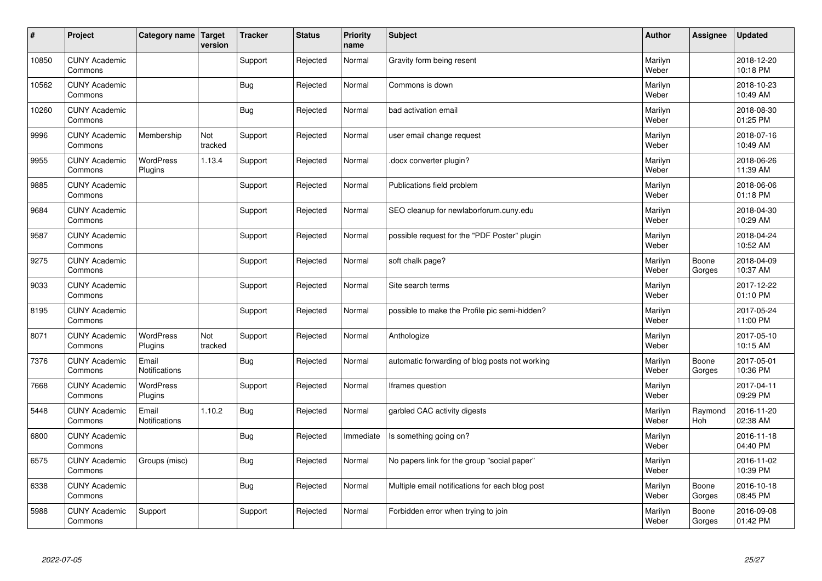| $\sharp$ | Project                         | Category name               | Target<br>version | <b>Tracker</b> | <b>Status</b> | <b>Priority</b><br>name | <b>Subject</b>                                  | <b>Author</b>    | <b>Assignee</b> | <b>Updated</b>         |
|----------|---------------------------------|-----------------------------|-------------------|----------------|---------------|-------------------------|-------------------------------------------------|------------------|-----------------|------------------------|
| 10850    | <b>CUNY Academic</b><br>Commons |                             |                   | Support        | Rejected      | Normal                  | Gravity form being resent                       | Marilyn<br>Weber |                 | 2018-12-20<br>10:18 PM |
| 10562    | <b>CUNY Academic</b><br>Commons |                             |                   | <b>Bug</b>     | Rejected      | Normal                  | Commons is down                                 | Marilyn<br>Weber |                 | 2018-10-23<br>10:49 AM |
| 10260    | <b>CUNY Academic</b><br>Commons |                             |                   | <b>Bug</b>     | Rejected      | Normal                  | bad activation email                            | Marilyn<br>Weber |                 | 2018-08-30<br>01:25 PM |
| 9996     | <b>CUNY Academic</b><br>Commons | Membership                  | Not<br>tracked    | Support        | Rejected      | Normal                  | user email change request                       | Marilyn<br>Weber |                 | 2018-07-16<br>10:49 AM |
| 9955     | <b>CUNY Academic</b><br>Commons | <b>WordPress</b><br>Plugins | 1.13.4            | Support        | Rejected      | Normal                  | docx converter plugin?                          | Marilyn<br>Weber |                 | 2018-06-26<br>11:39 AM |
| 9885     | <b>CUNY Academic</b><br>Commons |                             |                   | Support        | Rejected      | Normal                  | Publications field problem                      | Marilyn<br>Weber |                 | 2018-06-06<br>01:18 PM |
| 9684     | <b>CUNY Academic</b><br>Commons |                             |                   | Support        | Rejected      | Normal                  | SEO cleanup for newlaborforum.cuny.edu          | Marilyn<br>Weber |                 | 2018-04-30<br>10:29 AM |
| 9587     | <b>CUNY Academic</b><br>Commons |                             |                   | Support        | Rejected      | Normal                  | possible request for the "PDF Poster" plugin    | Marilyn<br>Weber |                 | 2018-04-24<br>10:52 AM |
| 9275     | <b>CUNY Academic</b><br>Commons |                             |                   | Support        | Rejected      | Normal                  | soft chalk page?                                | Marilyn<br>Weber | Boone<br>Gorges | 2018-04-09<br>10:37 AM |
| 9033     | <b>CUNY Academic</b><br>Commons |                             |                   | Support        | Rejected      | Normal                  | Site search terms                               | Marilyn<br>Weber |                 | 2017-12-22<br>01:10 PM |
| 8195     | <b>CUNY Academic</b><br>Commons |                             |                   | Support        | Rejected      | Normal                  | possible to make the Profile pic semi-hidden?   | Marilyn<br>Weber |                 | 2017-05-24<br>11:00 PM |
| 8071     | <b>CUNY Academic</b><br>Commons | <b>WordPress</b><br>Plugins | Not<br>tracked    | Support        | Rejected      | Normal                  | Anthologize                                     | Marilyn<br>Weber |                 | 2017-05-10<br>10:15 AM |
| 7376     | <b>CUNY Academic</b><br>Commons | Email<br>Notifications      |                   | Bug            | Rejected      | Normal                  | automatic forwarding of blog posts not working  | Marilyn<br>Weber | Boone<br>Gorges | 2017-05-01<br>10:36 PM |
| 7668     | <b>CUNY Academic</b><br>Commons | <b>WordPress</b><br>Plugins |                   | Support        | Rejected      | Normal                  | Iframes question                                | Marilyn<br>Weber |                 | 2017-04-11<br>09:29 PM |
| 5448     | <b>CUNY Academic</b><br>Commons | Email<br>Notifications      | 1.10.2            | <b>Bug</b>     | Rejected      | Normal                  | garbled CAC activity digests                    | Marilyn<br>Weber | Raymond<br>Hoh  | 2016-11-20<br>02:38 AM |
| 6800     | <b>CUNY Academic</b><br>Commons |                             |                   | Bug            | Rejected      | Immediate               | Is something going on?                          | Marilyn<br>Weber |                 | 2016-11-18<br>04:40 PM |
| 6575     | <b>CUNY Academic</b><br>Commons | Groups (misc)               |                   | Bug            | Rejected      | Normal                  | No papers link for the group "social paper"     | Marilyn<br>Weber |                 | 2016-11-02<br>10:39 PM |
| 6338     | <b>CUNY Academic</b><br>Commons |                             |                   | <b>Bug</b>     | Rejected      | Normal                  | Multiple email notifications for each blog post | Marilyn<br>Weber | Boone<br>Gorges | 2016-10-18<br>08:45 PM |
| 5988     | <b>CUNY Academic</b><br>Commons | Support                     |                   | Support        | Rejected      | Normal                  | Forbidden error when trying to join             | Marilyn<br>Weber | Boone<br>Gorges | 2016-09-08<br>01:42 PM |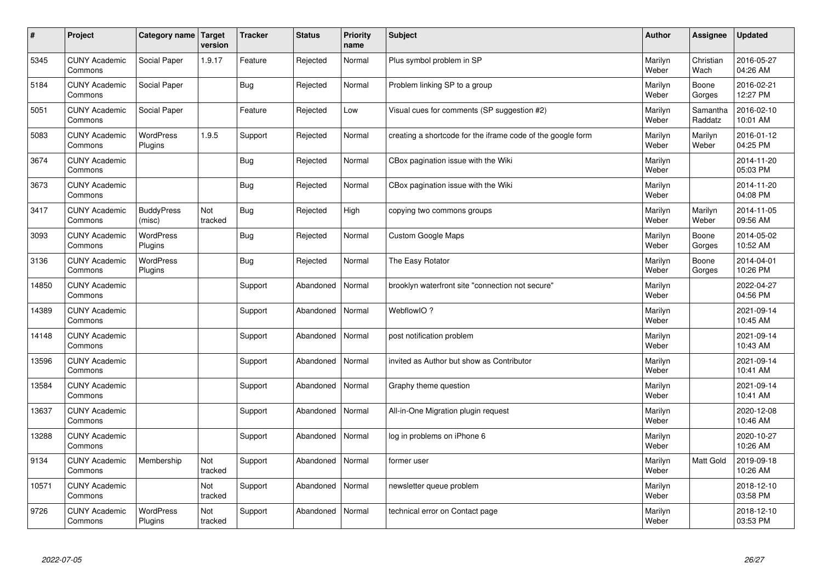| $\vert$ # | Project                         | Category name               | Target<br>version | <b>Tracker</b> | <b>Status</b> | <b>Priority</b><br>name | <b>Subject</b>                                              | <b>Author</b>    | <b>Assignee</b>     | <b>Updated</b>         |
|-----------|---------------------------------|-----------------------------|-------------------|----------------|---------------|-------------------------|-------------------------------------------------------------|------------------|---------------------|------------------------|
| 5345      | <b>CUNY Academic</b><br>Commons | Social Paper                | 1.9.17            | Feature        | Rejected      | Normal                  | Plus symbol problem in SP                                   | Marilyn<br>Weber | Christian<br>Wach   | 2016-05-27<br>04:26 AM |
| 5184      | <b>CUNY Academic</b><br>Commons | Social Paper                |                   | Bug            | Rejected      | Normal                  | Problem linking SP to a group                               | Marilyn<br>Weber | Boone<br>Gorges     | 2016-02-21<br>12:27 PM |
| 5051      | <b>CUNY Academic</b><br>Commons | Social Paper                |                   | Feature        | Rejected      | Low                     | Visual cues for comments (SP suggestion #2)                 | Marilyn<br>Weber | Samantha<br>Raddatz | 2016-02-10<br>10:01 AM |
| 5083      | <b>CUNY Academic</b><br>Commons | <b>WordPress</b><br>Plugins | 1.9.5             | Support        | Rejected      | Normal                  | creating a shortcode for the iframe code of the google form | Marilyn<br>Weber | Marilyn<br>Weber    | 2016-01-12<br>04:25 PM |
| 3674      | <b>CUNY Academic</b><br>Commons |                             |                   | Bug            | Rejected      | Normal                  | CBox pagination issue with the Wiki                         | Marilyn<br>Weber |                     | 2014-11-20<br>05:03 PM |
| 3673      | <b>CUNY Academic</b><br>Commons |                             |                   | Bug            | Rejected      | Normal                  | CBox pagination issue with the Wiki                         | Marilyn<br>Weber |                     | 2014-11-20<br>04:08 PM |
| 3417      | <b>CUNY Academic</b><br>Commons | <b>BuddyPress</b><br>(misc) | Not<br>tracked    | Bug            | Rejected      | High                    | copying two commons groups                                  | Marilyn<br>Weber | Marilyn<br>Weber    | 2014-11-05<br>09:56 AM |
| 3093      | <b>CUNY Academic</b><br>Commons | WordPress<br>Plugins        |                   | Bug            | Rejected      | Normal                  | <b>Custom Google Maps</b>                                   | Marilyn<br>Weber | Boone<br>Gorges     | 2014-05-02<br>10:52 AM |
| 3136      | <b>CUNY Academic</b><br>Commons | <b>WordPress</b><br>Plugins |                   | Bug            | Rejected      | Normal                  | The Easy Rotator                                            | Marilyn<br>Weber | Boone<br>Gorges     | 2014-04-01<br>10:26 PM |
| 14850     | <b>CUNY Academic</b><br>Commons |                             |                   | Support        | Abandoned     | Normal                  | brooklyn waterfront site "connection not secure"            | Marilyn<br>Weber |                     | 2022-04-27<br>04:56 PM |
| 14389     | <b>CUNY Academic</b><br>Commons |                             |                   | Support        | Abandoned     | Normal                  | WebflowIO?                                                  | Marilyn<br>Weber |                     | 2021-09-14<br>10:45 AM |
| 14148     | <b>CUNY Academic</b><br>Commons |                             |                   | Support        | Abandoned     | Normal                  | post notification problem                                   | Marilyn<br>Weber |                     | 2021-09-14<br>10:43 AM |
| 13596     | <b>CUNY Academic</b><br>Commons |                             |                   | Support        | Abandoned     | Normal                  | invited as Author but show as Contributor                   | Marilyn<br>Weber |                     | 2021-09-14<br>10:41 AM |
| 13584     | <b>CUNY Academic</b><br>Commons |                             |                   | Support        | Abandoned     | Normal                  | Graphy theme question                                       | Marilyn<br>Weber |                     | 2021-09-14<br>10:41 AM |
| 13637     | <b>CUNY Academic</b><br>Commons |                             |                   | Support        | Abandoned     | Normal                  | All-in-One Migration plugin request                         | Marilyn<br>Weber |                     | 2020-12-08<br>10:46 AM |
| 13288     | <b>CUNY Academic</b><br>Commons |                             |                   | Support        | Abandoned     | Normal                  | log in problems on iPhone 6                                 | Marilyn<br>Weber |                     | 2020-10-27<br>10:26 AM |
| 9134      | <b>CUNY Academic</b><br>Commons | Membership                  | Not<br>tracked    | Support        | Abandoned     | Normal                  | former user                                                 | Marilyn<br>Weber | Matt Gold           | 2019-09-18<br>10:26 AM |
| 10571     | <b>CUNY Academic</b><br>Commons |                             | Not<br>tracked    | Support        | Abandoned     | Normal                  | newsletter queue problem                                    | Marilyn<br>Weber |                     | 2018-12-10<br>03:58 PM |
| 9726      | <b>CUNY Academic</b><br>Commons | <b>WordPress</b><br>Plugins | Not<br>tracked    | Support        | Abandoned     | Normal                  | technical error on Contact page                             | Marilyn<br>Weber |                     | 2018-12-10<br>03:53 PM |